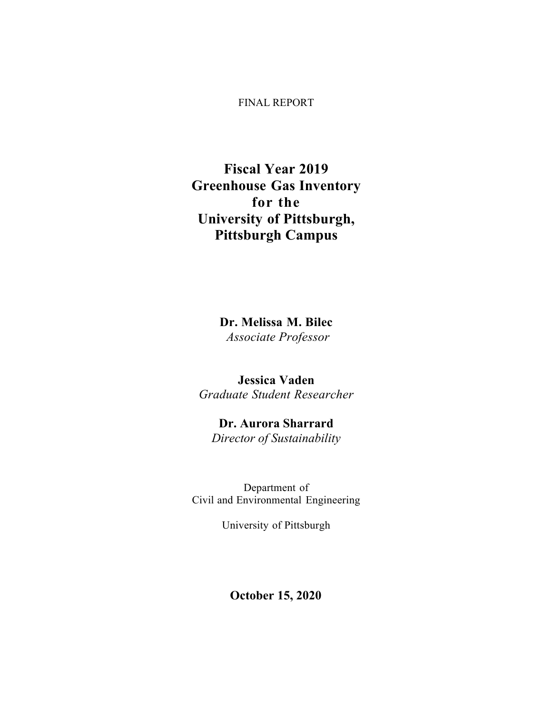#### FINAL REPORT

## **Fiscal Year 2019 Greenhouse Gas Inventory for the University of Pittsburgh, Pittsburgh Campus**

**Dr. Melissa M. Bilec** *Associate Professor*

**Jessica Vaden** *Graduate Student Researcher* 

**Dr. Aurora Sharrard**  *Director of Sustainability* 

Department of Civil and Environmental Engineering

University of Pittsburgh

**October 15, 2020**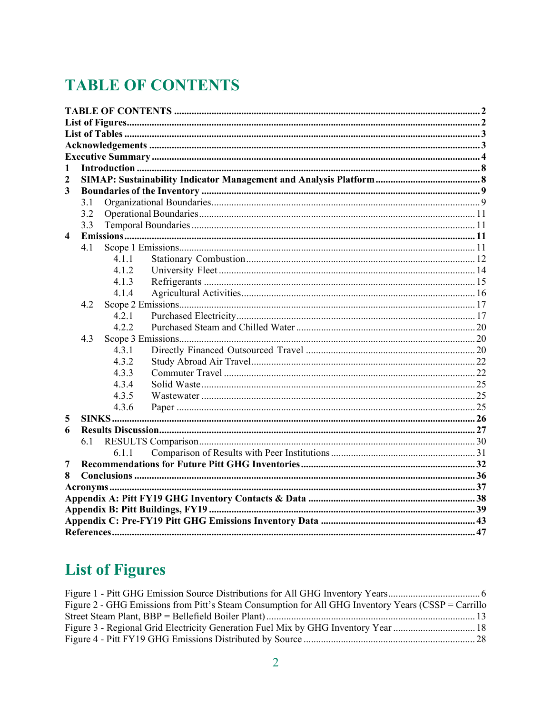# **TABLE OF CONTENTS**

| 1                       |     |       |  |
|-------------------------|-----|-------|--|
| 2                       |     |       |  |
| $\overline{\mathbf{3}}$ |     |       |  |
|                         | 3.1 |       |  |
|                         | 3.2 |       |  |
|                         | 3.3 |       |  |
| $\overline{\mathbf{4}}$ |     |       |  |
|                         | 4.1 |       |  |
|                         |     | 4.1.1 |  |
|                         |     | 4.1.2 |  |
|                         |     | 4.1.3 |  |
|                         |     | 4.1.4 |  |
|                         | 4.2 |       |  |
|                         |     | 4.2.1 |  |
|                         |     | 4.2.2 |  |
|                         | 4.3 |       |  |
|                         |     | 4.3.1 |  |
|                         |     | 4.3.2 |  |
|                         |     | 4.3.3 |  |
|                         |     | 4.3.4 |  |
|                         |     | 4.3.5 |  |
|                         |     | 4.3.6 |  |
| 5                       |     |       |  |
| 6                       |     |       |  |
|                         | 6.1 |       |  |
|                         |     | 6.1.1 |  |
| $\overline{7}$          |     |       |  |
| 8                       |     |       |  |
|                         |     |       |  |
|                         |     |       |  |
|                         |     |       |  |
|                         |     |       |  |
|                         |     |       |  |

# **List of Figures**

| Figure 2 - GHG Emissions from Pitt's Steam Consumption for All GHG Inventory Years (CSSP = Carrillo |  |
|-----------------------------------------------------------------------------------------------------|--|
|                                                                                                     |  |
| Figure 3 - Regional Grid Electricity Generation Fuel Mix by GHG Inventory Year  18                  |  |
|                                                                                                     |  |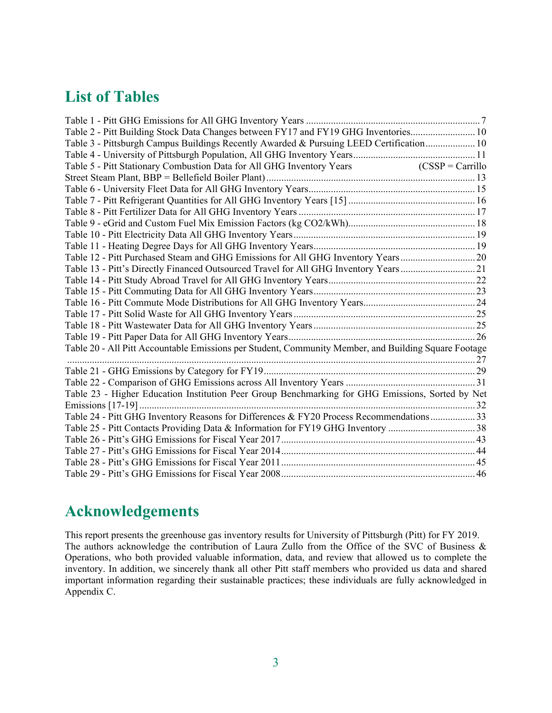## **List of Tables**

| Table 2 - Pitt Building Stock Data Changes between FY17 and FY19 GHG Inventories 10                  |  |
|------------------------------------------------------------------------------------------------------|--|
| Table 3 - Pittsburgh Campus Buildings Recently Awarded & Pursuing LEED Certification 10              |  |
|                                                                                                      |  |
| Table 5 - Pitt Stationary Combustion Data for All GHG Inventory Years (CSSP = Carrillo               |  |
|                                                                                                      |  |
|                                                                                                      |  |
|                                                                                                      |  |
|                                                                                                      |  |
|                                                                                                      |  |
|                                                                                                      |  |
|                                                                                                      |  |
| Table 12 - Pitt Purchased Steam and GHG Emissions for All GHG Inventory Years20                      |  |
| Table 13 - Pitt's Directly Financed Outsourced Travel for All GHG Inventory Years21                  |  |
|                                                                                                      |  |
|                                                                                                      |  |
|                                                                                                      |  |
|                                                                                                      |  |
|                                                                                                      |  |
|                                                                                                      |  |
| Table 20 - All Pitt Accountable Emissions per Student, Community Member, and Building Square Footage |  |
|                                                                                                      |  |
|                                                                                                      |  |
|                                                                                                      |  |
| Table 23 - Higher Education Institution Peer Group Benchmarking for GHG Emissions, Sorted by Net     |  |
|                                                                                                      |  |
| Table 24 - Pitt GHG Inventory Reasons for Differences & FY20 Process Recommendations 33              |  |
| Table 25 - Pitt Contacts Providing Data & Information for FY19 GHG Inventory 38                      |  |
|                                                                                                      |  |
|                                                                                                      |  |
|                                                                                                      |  |
|                                                                                                      |  |

## **Acknowledgements**

This report presents the greenhouse gas inventory results for University of Pittsburgh (Pitt) for FY 2019. The authors acknowledge the contribution of Laura Zullo from the Office of the SVC of Business & Operations, who both provided valuable information, data, and review that allowed us to complete the inventory. In addition, we sincerely thank all other Pitt staff members who provided us data and shared important information regarding their sustainable practices; these individuals are fully acknowledged in Appendix C.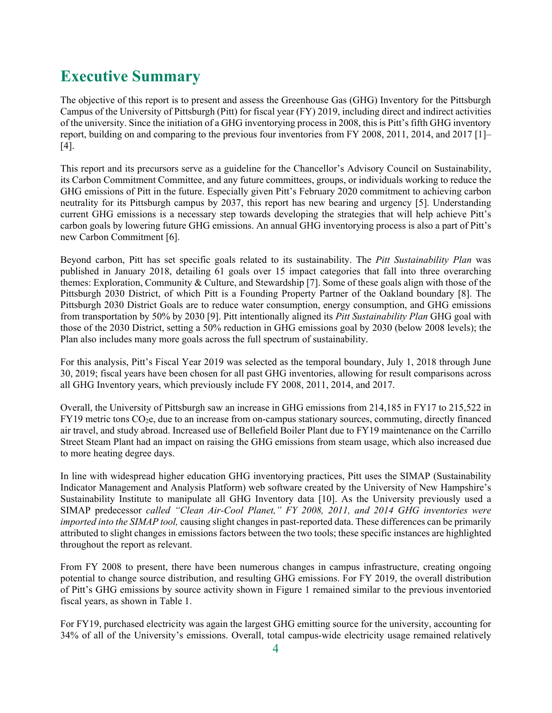## **Executive Summary**

The objective of this report is to present and assess the Greenhouse Gas (GHG) Inventory for the Pittsburgh Campus of the University of Pittsburgh (Pitt) for fiscal year (FY) 2019, including direct and indirect activities of the university. Since the initiation of a GHG inventorying process in 2008, this is Pitt's fifth GHG inventory report, building on and comparing to the previous four inventories from FY 2008, 2011, 2014, and 2017 [1]– [4].

This report and its precursors serve as a guideline for the Chancellor's Advisory Council on Sustainability, its Carbon Commitment Committee, and any future committees, groups, or individuals working to reduce the GHG emissions of Pitt in the future. Especially given Pitt's February 2020 commitment to achieving carbon neutrality for its Pittsburgh campus by 2037, this report has new bearing and urgency [5]. Understanding current GHG emissions is a necessary step towards developing the strategies that will help achieve Pitt's carbon goals by lowering future GHG emissions. An annual GHG inventorying process is also a part of Pitt's new Carbon Commitment [6].

Beyond carbon, Pitt has set specific goals related to its sustainability. The *Pitt Sustainability Plan* was published in January 2018, detailing 61 goals over 15 impact categories that fall into three overarching themes: Exploration, Community & Culture, and Stewardship [7]. Some of these goals align with those of the Pittsburgh 2030 District, of which Pitt is a Founding Property Partner of the Oakland boundary [8]. The Pittsburgh 2030 District Goals are to reduce water consumption, energy consumption, and GHG emissions from transportation by 50% by 2030 [9]. Pitt intentionally aligned its *Pitt Sustainability Plan* GHG goal with those of the 2030 District, setting a 50% reduction in GHG emissions goal by 2030 (below 2008 levels); the Plan also includes many more goals across the full spectrum of sustainability.

For this analysis, Pitt's Fiscal Year 2019 was selected as the temporal boundary, July 1, 2018 through June 30, 2019; fiscal years have been chosen for all past GHG inventories, allowing for result comparisons across all GHG Inventory years, which previously include FY 2008, 2011, 2014, and 2017.

Overall, the University of Pittsburgh saw an increase in GHG emissions from 214,185 in FY17 to 215,522 in FY19 metric tons CO2e, due to an increase from on-campus stationary sources, commuting, directly financed air travel, and study abroad. Increased use of Bellefield Boiler Plant due to FY19 maintenance on the Carrillo Street Steam Plant had an impact on raising the GHG emissions from steam usage, which also increased due to more heating degree days.

In line with widespread higher education GHG inventorying practices, Pitt uses the SIMAP (Sustainability Indicator Management and Analysis Platform) web software created by the University of New Hampshire's Sustainability Institute to manipulate all GHG Inventory data [10]. As the University previously used a SIMAP predecessor *called "Clean Air-Cool Planet," FY 2008, 2011, and 2014 GHG inventories were imported into the SIMAP tool,* causing slight changes in past-reported data. These differences can be primarily attributed to slight changes in emissions factors between the two tools; these specific instances are highlighted throughout the report as relevant.

From FY 2008 to present, there have been numerous changes in campus infrastructure, creating ongoing potential to change source distribution, and resulting GHG emissions. For FY 2019, the overall distribution of Pitt's GHG emissions by source activity shown in Figure 1 remained similar to the previous inventoried fiscal years, as shown in Table 1.

For FY19, purchased electricity was again the largest GHG emitting source for the university, accounting for 34% of all of the University's emissions. Overall, total campus-wide electricity usage remained relatively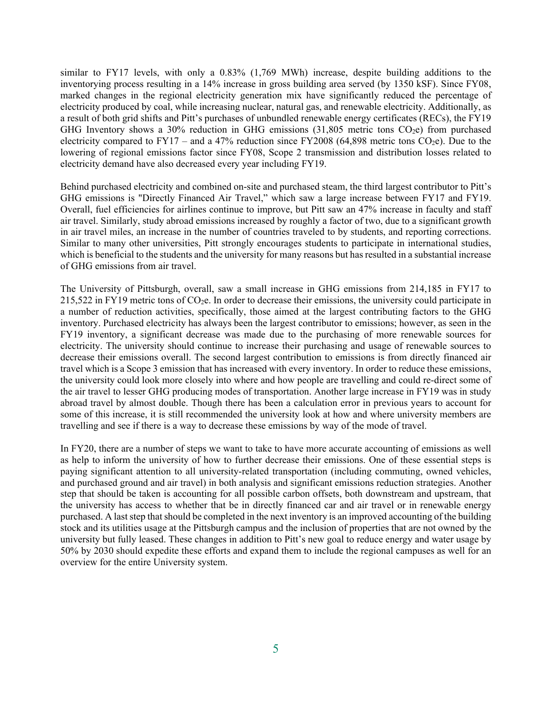similar to FY17 levels, with only a 0.83% (1,769 MWh) increase, despite building additions to the inventorying process resulting in a 14% increase in gross building area served (by 1350 kSF). Since FY08, marked changes in the regional electricity generation mix have significantly reduced the percentage of electricity produced by coal, while increasing nuclear, natural gas, and renewable electricity. Additionally, as a result of both grid shifts and Pitt's purchases of unbundled renewable energy certificates (RECs), the FY19 GHG Inventory shows a 30% reduction in GHG emissions (31,805 metric tons  $CO<sub>2</sub>e$ ) from purchased electricity compared to  $FY17 -$  and a 47% reduction since  $FY2008$  (64,898 metric tons  $CO<sub>2</sub>e$ ). Due to the lowering of regional emissions factor since FY08, Scope 2 transmission and distribution losses related to electricity demand have also decreased every year including FY19.

Behind purchased electricity and combined on-site and purchased steam, the third largest contributor to Pitt's GHG emissions is "Directly Financed Air Travel," which saw a large increase between FY17 and FY19. Overall, fuel efficiencies for airlines continue to improve, but Pitt saw an 47% increase in faculty and staff air travel. Similarly, study abroad emissions increased by roughly a factor of two, due to a significant growth in air travel miles, an increase in the number of countries traveled to by students, and reporting corrections. Similar to many other universities, Pitt strongly encourages students to participate in international studies, which is beneficial to the students and the university for many reasons but has resulted in a substantial increase of GHG emissions from air travel.

The University of Pittsburgh, overall, saw a small increase in GHG emissions from 214,185 in FY17 to 215,522 in FY19 metric tons of  $CO<sub>2</sub>e$ . In order to decrease their emissions, the university could participate in a number of reduction activities, specifically, those aimed at the largest contributing factors to the GHG inventory. Purchased electricity has always been the largest contributor to emissions; however, as seen in the FY19 inventory, a significant decrease was made due to the purchasing of more renewable sources for electricity. The university should continue to increase their purchasing and usage of renewable sources to decrease their emissions overall. The second largest contribution to emissions is from directly financed air travel which is a Scope 3 emission that has increased with every inventory. In order to reduce these emissions, the university could look more closely into where and how people are travelling and could re-direct some of the air travel to lesser GHG producing modes of transportation. Another large increase in FY19 was in study abroad travel by almost double. Though there has been a calculation error in previous years to account for some of this increase, it is still recommended the university look at how and where university members are travelling and see if there is a way to decrease these emissions by way of the mode of travel.

In FY20, there are a number of steps we want to take to have more accurate accounting of emissions as well as help to inform the university of how to further decrease their emissions. One of these essential steps is paying significant attention to all university-related transportation (including commuting, owned vehicles, and purchased ground and air travel) in both analysis and significant emissions reduction strategies. Another step that should be taken is accounting for all possible carbon offsets, both downstream and upstream, that the university has access to whether that be in directly financed car and air travel or in renewable energy purchased. A last step that should be completed in the next inventory is an improved accounting of the building stock and its utilities usage at the Pittsburgh campus and the inclusion of properties that are not owned by the university but fully leased. These changes in addition to Pitt's new goal to reduce energy and water usage by 50% by 2030 should expedite these efforts and expand them to include the regional campuses as well for an overview for the entire University system.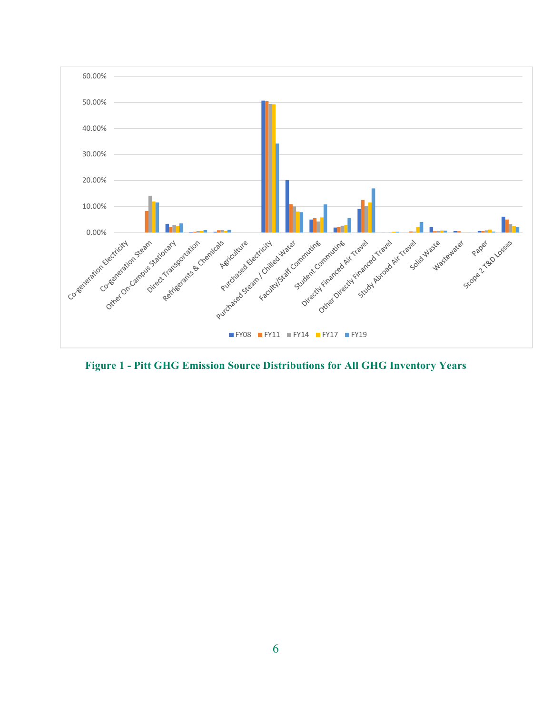

**Figure 1 - Pitt GHG Emission Source Distributions for All GHG Inventory Years**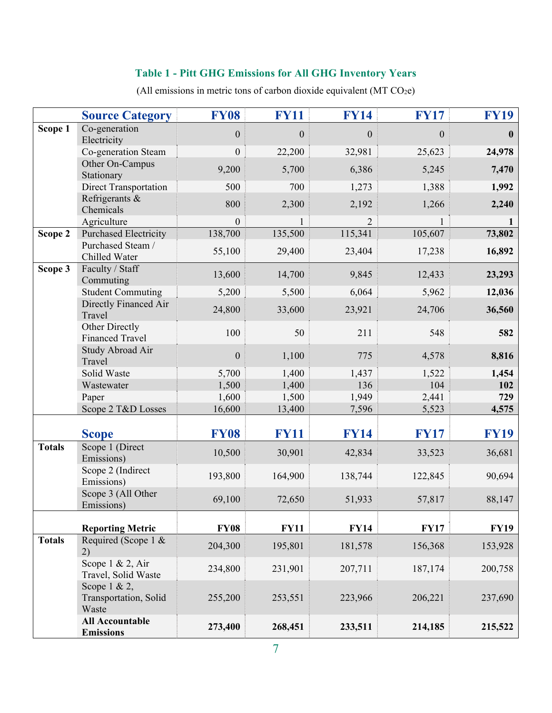## **Table 1 - Pitt GHG Emissions for All GHG Inventory Years**

(All emissions in metric tons of carbon dioxide equivalent  $(MT CO<sub>2</sub>e)$ 

|               | <b>Source Category</b>                            | <b>FY08</b>      | <b>FY11</b>      | <b>FY14</b> | <b>FY17</b> | <b>FY19</b>  |
|---------------|---------------------------------------------------|------------------|------------------|-------------|-------------|--------------|
| Scope 1       | Co-generation<br>Electricity                      | $\boldsymbol{0}$ | $\boldsymbol{0}$ | $\theta$    | $\theta$    | $\mathbf{0}$ |
|               | Co-generation Steam                               | $\boldsymbol{0}$ | 22,200           | 32,981      | 25,623      | 24,978       |
|               | Other On-Campus                                   | 9,200            | 5,700            | 6,386       | 5,245       | 7,470        |
|               | Stationary                                        |                  |                  |             |             |              |
|               | Direct Transportation                             | 500              | 700              | 1,273       | 1,388       | 1,992        |
|               | Refrigerants &<br>Chemicals                       | 800              | 2,300            | 2,192       | 1,266       | 2,240        |
|               | Agriculture                                       | $\boldsymbol{0}$ |                  |             |             |              |
| Scope 2       | <b>Purchased Electricity</b>                      | 138,700          | 135,500          | 115,341     | 105,607     | 73,802       |
|               | Purchased Steam /<br>Chilled Water                | 55,100           | 29,400           | 23,404      | 17,238      | 16,892       |
| Scope 3       | Faculty / Staff<br>Commuting                      | 13,600           | 14,700           | 9,845       | 12,433      | 23,293       |
|               | <b>Student Commuting</b>                          | 5,200            | 5,500            | 6,064       | 5,962       | 12,036       |
|               | Directly Financed Air<br>Travel                   | 24,800           | 33,600           | 23,921      | 24,706      | 36,560       |
|               | Other Directly<br><b>Financed Travel</b>          | 100              | 50               | 211         | 548         | 582          |
|               | Study Abroad Air<br>Travel                        | $\boldsymbol{0}$ | 1,100            | 775         | 4,578       | 8,816        |
|               | Solid Waste                                       | 5,700            | 1,400            | 1,437       | 1,522       | 1,454        |
|               | Wastewater                                        | 1,500            | 1,400            | 136         | 104         | 102          |
|               | Paper                                             | 1,600            | 1,500            | 1,949       | 2,441       | 729          |
|               | Scope 2 T&D Losses                                | 16,600           | 13,400           | 7,596       | 5,523       | 4,575        |
|               | <b>Scope</b>                                      | <b>FY08</b>      | <b>FY11</b>      | <b>FY14</b> | <b>FY17</b> | <b>FY19</b>  |
| <b>Totals</b> | Scope 1 (Direct<br>Emissions)                     | 10,500           | 30,901           | 42,834      | 33,523      | 36,681       |
|               | Scope 2 (Indirect<br>Emissions)                   | 193,800          | 164,900          | 138,744     | 122,845     | 90,694       |
|               | Scope 3 (All Other<br>Emissions)                  | 69,100           | 72,650           | 51,933      | 57,817      | 88,147       |
|               | <b>Reporting Metric</b>                           | <b>FY08</b>      | <b>FY11</b>      | <b>FY14</b> | <b>FY17</b> | <b>FY19</b>  |
| <b>Totals</b> | Required (Scope 1 &<br>2)                         | 204,300          | 195,801          | 181,578     | 156,368     | 153,928      |
|               | Scope $1 \& 2$ , Air<br>Travel, Solid Waste       | 234,800          | 231,901          | 207,711     | 187,174     | 200,758      |
|               | Scope $1 & 2$ ,<br>Transportation, Solid<br>Waste | 255,200          | 253,551          | 223,966     | 206,221     | 237,690      |
|               | <b>All Accountable</b><br><b>Emissions</b>        | 273,400          | 268,451          | 233,511     | 214,185     | 215,522      |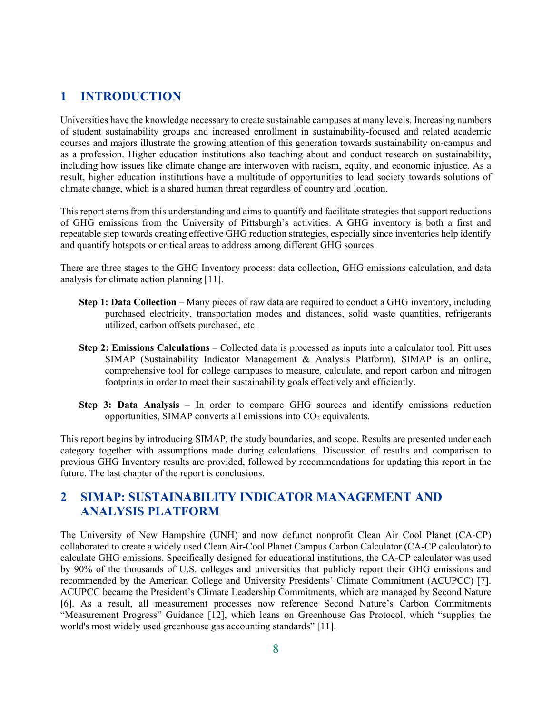## **1 INTRODUCTION**

Universities have the knowledge necessary to create sustainable campuses at many levels. Increasing numbers of student sustainability groups and increased enrollment in sustainability-focused and related academic courses and majors illustrate the growing attention of this generation towards sustainability on-campus and as a profession. Higher education institutions also teaching about and conduct research on sustainability, including how issues like climate change are interwoven with racism, equity, and economic injustice. As a result, higher education institutions have a multitude of opportunities to lead society towards solutions of climate change, which is a shared human threat regardless of country and location.

This report stems from this understanding and aims to quantify and facilitate strategies that support reductions of GHG emissions from the University of Pittsburgh's activities. A GHG inventory is both a first and repeatable step towards creating effective GHG reduction strategies, especially since inventories help identify and quantify hotspots or critical areas to address among different GHG sources.

There are three stages to the GHG Inventory process: data collection, GHG emissions calculation, and data analysis for climate action planning [11].

- **Step 1: Data Collection** Many pieces of raw data are required to conduct a GHG inventory, including purchased electricity, transportation modes and distances, solid waste quantities, refrigerants utilized, carbon offsets purchased, etc.
- **Step 2: Emissions Calculations** Collected data is processed as inputs into a calculator tool. Pitt uses SIMAP (Sustainability Indicator Management & Analysis Platform). SIMAP is an online, comprehensive tool for college campuses to measure, calculate, and report carbon and nitrogen footprints in order to meet their sustainability goals effectively and efficiently.
- **Step 3: Data Analysis** In order to compare GHG sources and identify emissions reduction opportunities, SIMAP converts all emissions into  $CO<sub>2</sub>$  equivalents.

This report begins by introducing SIMAP, the study boundaries, and scope. Results are presented under each category together with assumptions made during calculations. Discussion of results and comparison to previous GHG Inventory results are provided, followed by recommendations for updating this report in the future. The last chapter of the report is conclusions.

## **2 SIMAP: SUSTAINABILITY INDICATOR MANAGEMENT AND ANALYSIS PLATFORM**

The University of New Hampshire (UNH) and now defunct nonprofit Clean Air Cool Planet (CA-CP) collaborated to create a widely used Clean Air-Cool Planet Campus Carbon Calculator (CA‐CP calculator) to calculate GHG emissions. Specifically designed for educational institutions, the CA-CP calculator was used by 90% of the thousands of U.S. colleges and universities that publicly report their GHG emissions and recommended by the American College and University Presidents' Climate Commitment (ACUPCC) [7]. ACUPCC became the President's Climate Leadership Commitments, which are managed by Second Nature [6]. As a result, all measurement processes now reference Second Nature's Carbon Commitments "Measurement Progress" Guidance [12], which leans on Greenhouse Gas Protocol, which "supplies the world's most widely used greenhouse gas accounting standards" [11].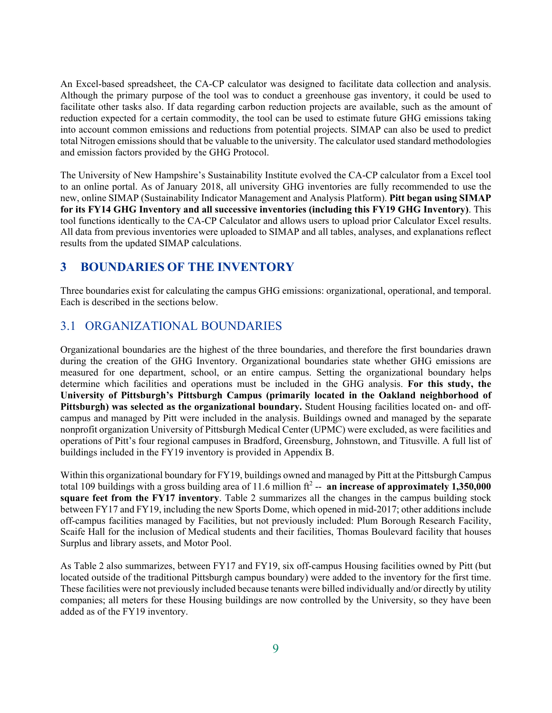An Excel-based spreadsheet, the CA-CP calculator was designed to facilitate data collection and analysis. Although the primary purpose of the tool was to conduct a greenhouse gas inventory, it could be used to facilitate other tasks also. If data regarding carbon reduction projects are available, such as the amount of reduction expected for a certain commodity, the tool can be used to estimate future GHG emissions taking into account common emissions and reductions from potential projects. SIMAP can also be used to predict total Nitrogen emissions should that be valuable to the university. The calculator used standard methodologies and emission factors provided by the GHG Protocol.

The University of New Hampshire's Sustainability Institute evolved the CA-CP calculator from a Excel tool to an online portal. As of January 2018, all university GHG inventories are fully recommended to use the new, online SIMAP (Sustainability Indicator Management and Analysis Platform). **Pitt began using SIMAP for its FY14 GHG Inventory and all successive inventories (including this FY19 GHG Inventory)**. This tool functions identically to the CA-CP Calculator and allows users to upload prior Calculator Excel results. All data from previous inventories were uploaded to SIMAP and all tables, analyses, and explanations reflect results from the updated SIMAP calculations.

## **3 BOUNDARIES OF THE INVENTORY**

Three boundaries exist for calculating the campus GHG emissions: organizational, operational, and temporal. Each is described in the sections below.

### 3.1 ORGANIZATIONAL BOUNDARIES

Organizational boundaries are the highest of the three boundaries, and therefore the first boundaries drawn during the creation of the GHG Inventory. Organizational boundaries state whether GHG emissions are measured for one department, school, or an entire campus. Setting the organizational boundary helps determine which facilities and operations must be included in the GHG analysis. **For this study, the University of Pittsburgh's Pittsburgh Campus (primarily located in the Oakland neighborhood of Pittsburgh) was selected as the organizational boundary.** Student Housing facilities located on- and offcampus and managed by Pitt were included in the analysis. Buildings owned and managed by the separate nonprofit organization University of Pittsburgh Medical Center (UPMC) were excluded, as were facilities and operations of Pitt's four regional campuses in Bradford, Greensburg, Johnstown, and Titusville. A full list of buildings included in the FY19 inventory is provided in Appendix B.

Within this organizational boundary for FY19, buildings owned and managed by Pitt at the Pittsburgh Campus total 109 buildings with a gross building area of 11.6 million ft<sup>2</sup> -- **an increase of approximately 1,350,000 square feet from the FY17 inventory**. Table 2 summarizes all the changes in the campus building stock between FY17 and FY19, including the new Sports Dome, which opened in mid-2017; other additions include off-campus facilities managed by Facilities, but not previously included: Plum Borough Research Facility, Scaife Hall for the inclusion of Medical students and their facilities, Thomas Boulevard facility that houses Surplus and library assets, and Motor Pool.

As Table 2 also summarizes, between FY17 and FY19, six off-campus Housing facilities owned by Pitt (but located outside of the traditional Pittsburgh campus boundary) were added to the inventory for the first time. These facilities were not previously included because tenants were billed individually and/or directly by utility companies; all meters for these Housing buildings are now controlled by the University, so they have been added as of the FY19 inventory.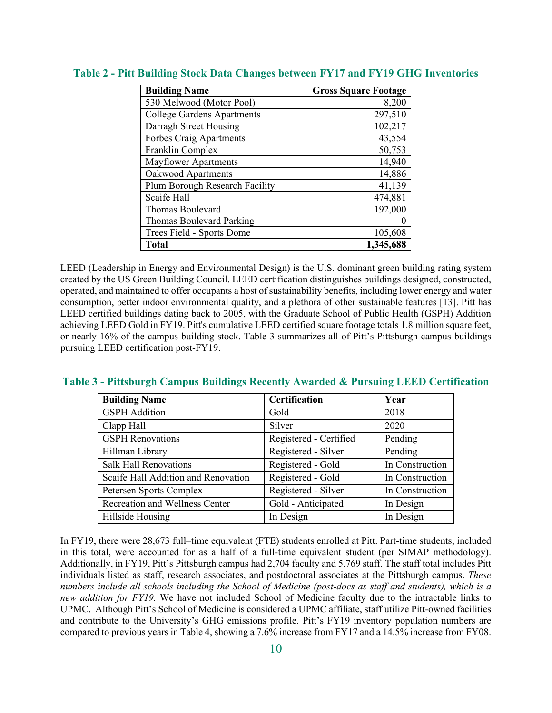| <b>Building Name</b>              | <b>Gross Square Footage</b> |
|-----------------------------------|-----------------------------|
| 530 Melwood (Motor Pool)          | 8,200                       |
| <b>College Gardens Apartments</b> | 297,510                     |
| Darragh Street Housing            | 102,217                     |
| <b>Forbes Craig Apartments</b>    | 43,554                      |
| Franklin Complex                  | 50,753                      |
| <b>Mayflower Apartments</b>       | 14,940                      |
| Oakwood Apartments                | 14,886                      |
| Plum Borough Research Facility    | 41,139                      |
| Scaife Hall                       | 474,881                     |
| <b>Thomas Boulevard</b>           | 192,000                     |
| Thomas Boulevard Parking          | 0                           |
| Trees Field - Sports Dome         | 105,608                     |
| <b>Total</b>                      | 1,345,688                   |

#### **Table 2 - Pitt Building Stock Data Changes between FY17 and FY19 GHG Inventories**

LEED (Leadership in Energy and Environmental Design) is the U.S. dominant green building rating system created by the US Green Building Council. LEED certification distinguishes buildings designed, constructed, operated, and maintained to offer occupants a host of sustainability benefits, including lower energy and water consumption, better indoor environmental quality, and a plethora of other sustainable features [13]. Pitt has LEED certified buildings dating back to 2005, with the Graduate School of Public Health (GSPH) Addition achieving LEED Gold in FY19. Pitt's cumulative LEED certified square footage totals 1.8 million square feet, or nearly 16% of the campus building stock. Table 3 summarizes all of Pitt's Pittsburgh campus buildings pursuing LEED certification post-FY19.

#### **Table 3 - Pittsburgh Campus Buildings Recently Awarded & Pursuing LEED Certification**

| <b>Building Name</b>                  | Certification          | Year            |
|---------------------------------------|------------------------|-----------------|
| <b>GSPH</b> Addition                  | Gold                   | 2018            |
| Clapp Hall                            | Silver                 | 2020            |
| <b>GSPH</b> Renovations               | Registered - Certified | Pending         |
| Hillman Library                       | Registered - Silver    | Pending         |
| <b>Salk Hall Renovations</b>          | Registered - Gold      | In Construction |
| Scaife Hall Addition and Renovation   | Registered - Gold      | In Construction |
| Petersen Sports Complex               | Registered - Silver    | In Construction |
| <b>Recreation and Wellness Center</b> | Gold - Anticipated     | In Design       |
| Hillside Housing                      | In Design              | In Design       |

In FY19, there were 28,673 full–time equivalent (FTE) students enrolled at Pitt. Part-time students, included in this total, were accounted for as a half of a full-time equivalent student (per SIMAP methodology). Additionally, in FY19, Pitt's Pittsburgh campus had 2,704 faculty and 5,769 staff. The staff total includes Pitt individuals listed as staff, research associates, and postdoctoral associates at the Pittsburgh campus. *These numbers include all schools including the School of Medicine (post-docs as staff and students), which is a new addition for FY19.* We have not included School of Medicine faculty due to the intractable links to UPMC. Although Pitt's School of Medicine is considered a UPMC affiliate, staff utilize Pitt-owned facilities and contribute to the University's GHG emissions profile. Pitt's FY19 inventory population numbers are compared to previous years in Table 4, showing a 7.6% increase from FY17 and a 14.5% increase from FY08.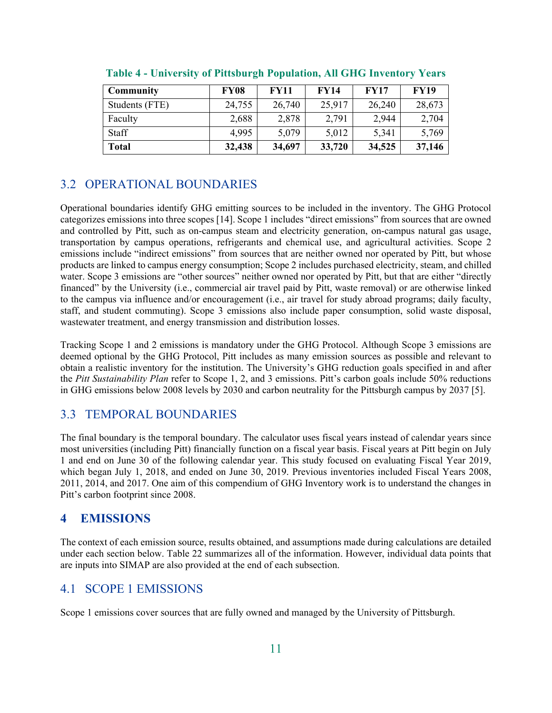| <b>Community</b> | <b>FY08</b> | <b>FY11</b> | <b>FY14</b> | <b>FY17</b> | <b>FY19</b> |
|------------------|-------------|-------------|-------------|-------------|-------------|
| Students (FTE)   | 24,755      | 26,740      | 25,917      | 26,240      | 28,673      |
| Faculty          | 2,688       | 2,878       | 2,791       | 2,944       | 2,704       |
| <b>Staff</b>     | 4,995       | 5,079       | 5,012       | 5,341       | 5,769       |
| <b>Total</b>     | 32,438      | 34,697      | 33,720      | 34,525      | 37,146      |

**Table 4 - University of Pittsburgh Population, All GHG Inventory Years** 

## 3.2 OPERATIONAL BOUNDARIES

Operational boundaries identify GHG emitting sources to be included in the inventory. The GHG Protocol categorizes emissions into three scopes [14]. Scope 1 includes "direct emissions" from sources that are owned and controlled by Pitt, such as on-campus steam and electricity generation, on-campus natural gas usage, transportation by campus operations, refrigerants and chemical use, and agricultural activities. Scope 2 emissions include "indirect emissions" from sources that are neither owned nor operated by Pitt, but whose products are linked to campus energy consumption; Scope 2 includes purchased electricity, steam, and chilled water. Scope 3 emissions are "other sources" neither owned nor operated by Pitt, but that are either "directly financed" by the University (i.e., commercial air travel paid by Pitt, waste removal) or are otherwise linked to the campus via influence and/or encouragement (i.e., air travel for study abroad programs; daily faculty, staff, and student commuting). Scope 3 emissions also include paper consumption, solid waste disposal, wastewater treatment, and energy transmission and distribution losses.

Tracking Scope 1 and 2 emissions is mandatory under the GHG Protocol. Although Scope 3 emissions are deemed optional by the GHG Protocol, Pitt includes as many emission sources as possible and relevant to obtain a realistic inventory for the institution. The University's GHG reduction goals specified in and after the *Pitt Sustainability Plan* refer to Scope 1, 2, and 3 emissions. Pitt's carbon goals include 50% reductions in GHG emissions below 2008 levels by 2030 and carbon neutrality for the Pittsburgh campus by 2037 [5].

## 3.3 TEMPORAL BOUNDARIES

The final boundary is the temporal boundary. The calculator uses fiscal years instead of calendar years since most universities (including Pitt) financially function on a fiscal year basis. Fiscal years at Pitt begin on July 1 and end on June 30 of the following calendar year. This study focused on evaluating Fiscal Year 2019, which began July 1, 2018, and ended on June 30, 2019. Previous inventories included Fiscal Years 2008, 2011, 2014, and 2017. One aim of this compendium of GHG Inventory work is to understand the changes in Pitt's carbon footprint since 2008.

## **4 EMISSIONS**

The context of each emission source, results obtained, and assumptions made during calculations are detailed under each section below. Table 22 summarizes all of the information. However, individual data points that are inputs into SIMAP are also provided at the end of each subsection.

## 4.1 SCOPE 1 EMISSIONS

Scope 1 emissions cover sources that are fully owned and managed by the University of Pittsburgh.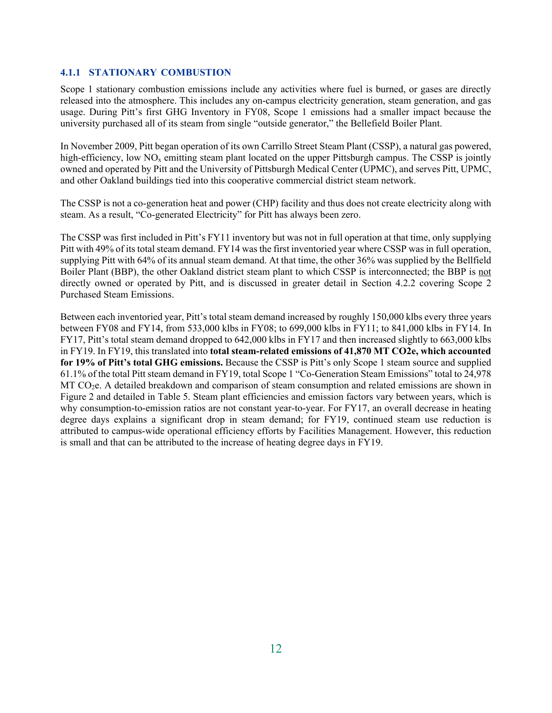#### **4.1.1 STATIONARY COMBUSTION**

Scope 1 stationary combustion emissions include any activities where fuel is burned, or gases are directly released into the atmosphere. This includes any on-campus electricity generation, steam generation, and gas usage. During Pitt's first GHG Inventory in FY08, Scope 1 emissions had a smaller impact because the university purchased all of its steam from single "outside generator," the Bellefield Boiler Plant.

In November 2009, Pitt began operation of its own Carrillo Street Steam Plant (CSSP), a natural gas powered, high-efficiency, low  $NO<sub>x</sub>$  emitting steam plant located on the upper Pittsburgh campus. The CSSP is jointly owned and operated by Pitt and the University of Pittsburgh Medical Center (UPMC), and serves Pitt, UPMC, and other Oakland buildings tied into this cooperative commercial district steam network.

The CSSP is not a co-generation heat and power (CHP) facility and thus does not create electricity along with steam. As a result, "Co-generated Electricity" for Pitt has always been zero.

The CSSP was first included in Pitt's FY11 inventory but was not in full operation at that time, only supplying Pitt with 49% of its total steam demand. FY14 was the first inventoried year where CSSP was in full operation, supplying Pitt with 64% of its annual steam demand. At that time, the other 36% was supplied by the Bellfield Boiler Plant (BBP), the other Oakland district steam plant to which CSSP is interconnected; the BBP is not directly owned or operated by Pitt, and is discussed in greater detail in Section 4.2.2 covering Scope 2 Purchased Steam Emissions.

Between each inventoried year, Pitt's total steam demand increased by roughly 150,000 klbs every three years between FY08 and FY14, from 533,000 klbs in FY08; to 699,000 klbs in FY11; to 841,000 klbs in FY14. In FY17, Pitt's total steam demand dropped to 642,000 klbs in FY17 and then increased slightly to 663,000 klbs in FY19. In FY19, this translated into **total steam-related emissions of 41,870 MT CO2e, which accounted for 19% of Pitt's total GHG emissions.** Because the CSSP is Pitt's only Scope 1 steam source and supplied 61.1% of the total Pitt steam demand in FY19, total Scope 1 "Co-Generation Steam Emissions" total to 24,978  $MT CO<sub>2</sub>e$ . A detailed breakdown and comparison of steam consumption and related emissions are shown in Figure 2 and detailed in Table 5. Steam plant efficiencies and emission factors vary between years, which is why consumption-to-emission ratios are not constant year-to-year. For FY17, an overall decrease in heating degree days explains a significant drop in steam demand; for FY19, continued steam use reduction is attributed to campus-wide operational efficiency efforts by Facilities Management. However, this reduction is small and that can be attributed to the increase of heating degree days in FY19.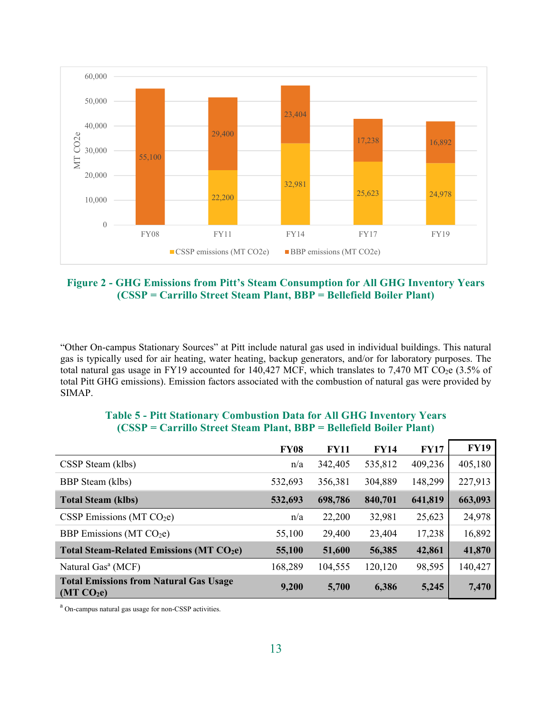

#### **Figure 2 - GHG Emissions from Pitt's Steam Consumption for All GHG Inventory Years (CSSP = Carrillo Street Steam Plant, BBP = Bellefield Boiler Plant)**

"Other On-campus Stationary Sources" at Pitt include natural gas used in individual buildings. This natural gas is typically used for air heating, water heating, backup generators, and/or for laboratory purposes. The total natural gas usage in FY19 accounted for 140,427 MCF, which translates to 7,470 MT CO<sub>2</sub>e (3.5% of total Pitt GHG emissions). Emission factors associated with the combustion of natural gas were provided by SIMAP.

|                                                                         | <b>FY08</b> | <b>FY11</b> | <b>FY14</b> | <b>FY17</b> | <b>FY19</b> |
|-------------------------------------------------------------------------|-------------|-------------|-------------|-------------|-------------|
| CSSP Steam (klbs)                                                       | n/a         | 342,405     | 535,812     | 409,236     | 405,180     |
| <b>BBP</b> Steam (klbs)                                                 | 532,693     | 356,381     | 304,889     | 148,299     | 227,913     |
| <b>Total Steam (klbs)</b>                                               | 532,693     | 698,786     | 840,701     | 641,819     | 663,093     |
| CSSP Emissions ( $MT CO2e$ )                                            | n/a         | 22,200      | 32,981      | 25,623      | 24,978      |
| BBP Emissions (MT $CO2e$ )                                              | 55,100      | 29,400      | 23,404      | 17,238      | 16,892      |
| <b>Total Steam-Related Emissions (MT CO2e)</b>                          | 55,100      | 51,600      | 56,385      | 42,861      | 41,870      |
| Natural Gas <sup>a</sup> (MCF)                                          | 168,289     | 104,555     | 120,120     | 98,595      | 140,427     |
| <b>Total Emissions from Natural Gas Usage</b><br>(MT CO <sub>2</sub> e) | 9,200       | 5,700       | 6,386       | 5,245       | 7,470       |

#### **Table 5 - Pitt Stationary Combustion Data for All GHG Inventory Years (CSSP = Carrillo Street Steam Plant, BBP = Bellefield Boiler Plant)**

<sup>a</sup> On-campus natural gas usage for non-CSSP activities.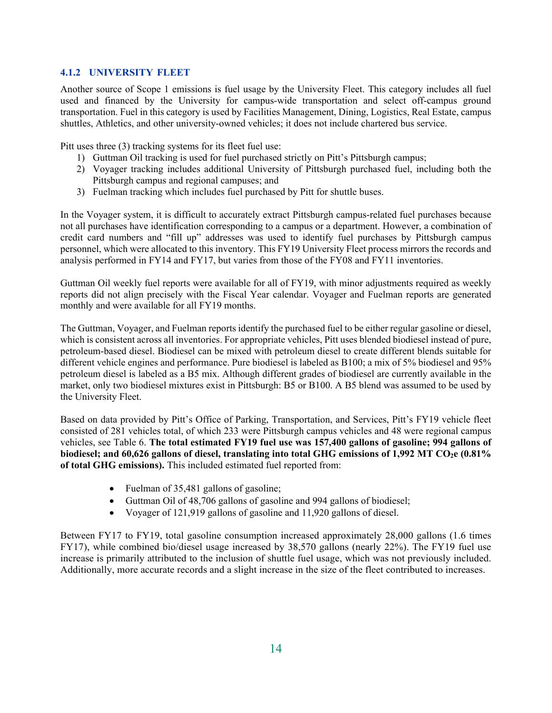#### **4.1.2 UNIVERSITY FLEET**

Another source of Scope 1 emissions is fuel usage by the University Fleet. This category includes all fuel used and financed by the University for campus-wide transportation and select off-campus ground transportation. Fuel in this category is used by Facilities Management, Dining, Logistics, Real Estate, campus shuttles, Athletics, and other university-owned vehicles; it does not include chartered bus service.

Pitt uses three (3) tracking systems for its fleet fuel use:

- 1) Guttman Oil tracking is used for fuel purchased strictly on Pitt's Pittsburgh campus;
- 2) Voyager tracking includes additional University of Pittsburgh purchased fuel, including both the Pittsburgh campus and regional campuses; and
- 3) Fuelman tracking which includes fuel purchased by Pitt for shuttle buses.

In the Voyager system, it is difficult to accurately extract Pittsburgh campus-related fuel purchases because not all purchases have identification corresponding to a campus or a department. However, a combination of credit card numbers and "fill up" addresses was used to identify fuel purchases by Pittsburgh campus personnel, which were allocated to this inventory. This FY19 University Fleet process mirrors the records and analysis performed in FY14 and FY17, but varies from those of the FY08 and FY11 inventories.

Guttman Oil weekly fuel reports were available for all of FY19, with minor adjustments required as weekly reports did not align precisely with the Fiscal Year calendar. Voyager and Fuelman reports are generated monthly and were available for all FY19 months.

The Guttman, Voyager, and Fuelman reports identify the purchased fuel to be either regular gasoline or diesel, which is consistent across all inventories. For appropriate vehicles, Pitt uses blended biodiesel instead of pure, petroleum-based diesel. Biodiesel can be mixed with petroleum diesel to create different blends suitable for different vehicle engines and performance. Pure biodiesel is labeled as B100; a mix of 5% biodiesel and 95% petroleum diesel is labeled as a B5 mix. Although different grades of biodiesel are currently available in the market, only two biodiesel mixtures exist in Pittsburgh: B5 or B100. A B5 blend was assumed to be used by the University Fleet.

Based on data provided by Pitt's Office of Parking, Transportation, and Services, Pitt's FY19 vehicle fleet consisted of 281 vehicles total, of which 233 were Pittsburgh campus vehicles and 48 were regional campus vehicles, see Table 6. **The total estimated FY19 fuel use was 157,400 gallons of gasoline; 994 gallons of biodiesel; and 60,626 gallons of diesel, translating into total GHG emissions of 1,992 MT CO2e (0.81% of total GHG emissions).** This included estimated fuel reported from:

- Fuelman of 35,481 gallons of gasoline;
- Guttman Oil of 48,706 gallons of gasoline and 994 gallons of biodiesel;
- Voyager of 121,919 gallons of gasoline and 11,920 gallons of diesel.

Between FY17 to FY19, total gasoline consumption increased approximately 28,000 gallons (1.6 times FY17), while combined bio/diesel usage increased by 38,570 gallons (nearly 22%). The FY19 fuel use increase is primarily attributed to the inclusion of shuttle fuel usage, which was not previously included. Additionally, more accurate records and a slight increase in the size of the fleet contributed to increases.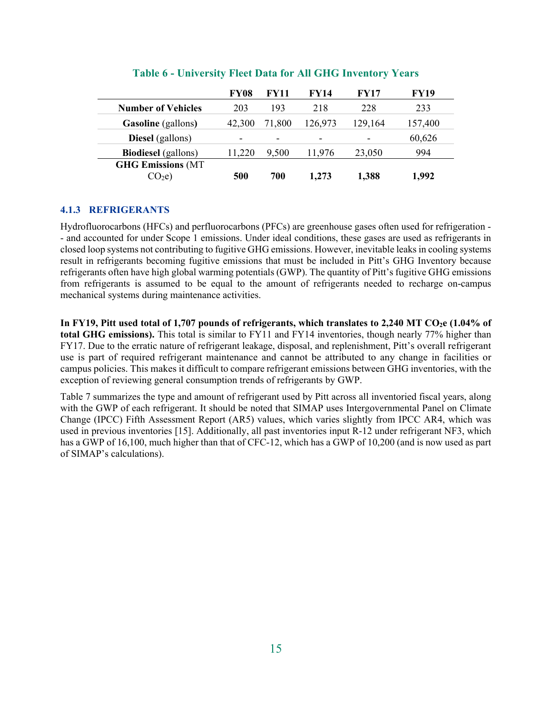|                            | <b>FY08</b> | <b>FY11</b>              | <b>FY14</b>              | <b>FY17</b> | <b>FY19</b> |
|----------------------------|-------------|--------------------------|--------------------------|-------------|-------------|
| <b>Number of Vehicles</b>  | 203         | 193                      | 218                      | 228         | 233         |
| <b>Gasoline</b> (gallons)  | 42,300      | 71,800                   | 126,973                  | 129,164     | 157,400     |
| <b>Diesel</b> (gallons)    |             | $\overline{\phantom{0}}$ | $\overline{\phantom{a}}$ |             | 60,626      |
| <b>Biodiesel</b> (gallons) | 11.220      | 9.500                    | 11,976                   | 23,050      | 994         |
| <b>GHG Emissions (MT</b>   |             |                          |                          |             |             |
| CO <sub>2</sub> e          | 500         | 700                      | 1,273                    | 1,388       | 1.992       |

#### **Table 6 - University Fleet Data for All GHG Inventory Years**

#### **4.1.3 REFRIGERANTS**

Hydrofluorocarbons (HFCs) and perfluorocarbons (PFCs) are greenhouse gases often used for refrigeration - - and accounted for under Scope 1 emissions. Under ideal conditions, these gases are used as refrigerants in closed loop systems not contributing to fugitive GHG emissions. However, inevitable leaks in cooling systems result in refrigerants becoming fugitive emissions that must be included in Pitt's GHG Inventory because refrigerants often have high global warming potentials (GWP). The quantity of Pitt's fugitive GHG emissions from refrigerants is assumed to be equal to the amount of refrigerants needed to recharge on-campus mechanical systems during maintenance activities.

In FY19, Pitt used total of 1,707 pounds of refrigerants, which translates to 2,240 MT CO<sub>2</sub>e (1.04% of **total GHG emissions).** This total is similar to FY11 and FY14 inventories, though nearly 77% higher than FY17. Due to the erratic nature of refrigerant leakage, disposal, and replenishment, Pitt's overall refrigerant use is part of required refrigerant maintenance and cannot be attributed to any change in facilities or campus policies. This makes it difficult to compare refrigerant emissions between GHG inventories, with the exception of reviewing general consumption trends of refrigerants by GWP.

Table 7 summarizes the type and amount of refrigerant used by Pitt across all inventoried fiscal years, along with the GWP of each refrigerant. It should be noted that SIMAP uses Intergovernmental Panel on Climate Change (IPCC) Fifth Assessment Report (AR5) values, which varies slightly from IPCC AR4, which was used in previous inventories [15]. Additionally, all past inventories input R-12 under refrigerant NF3, which has a GWP of 16,100, much higher than that of CFC-12, which has a GWP of 10,200 (and is now used as part of SIMAP's calculations).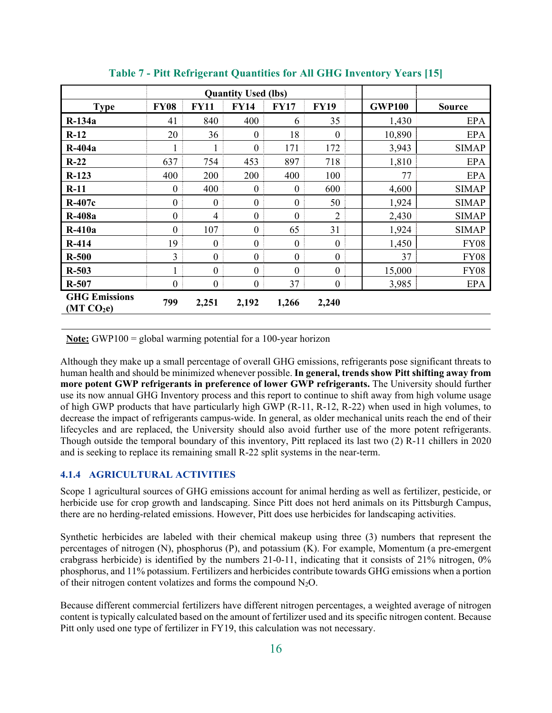|                                                |                  |                  | <b>Quantity Used (lbs)</b> |                  |                  |               |               |
|------------------------------------------------|------------------|------------------|----------------------------|------------------|------------------|---------------|---------------|
| <b>Type</b>                                    | <b>FY08</b>      | <b>FY11</b>      | <b>FY14</b>                | <b>FY17</b>      | <b>FY19</b>      | <b>GWP100</b> | <b>Source</b> |
| $R-134a$                                       | 41               | 840              | 400                        | 6                | 35               | 1,430         | <b>EPA</b>    |
| $R-12$                                         | 20               | 36               | $\boldsymbol{0}$           | 18               | $\boldsymbol{0}$ | 10,890        | <b>EPA</b>    |
| $R-404a$                                       |                  |                  | $\overline{0}$             | 171              | 172              | 3,943         | <b>SIMAP</b>  |
| $R-22$                                         | 637              | 754              | 453                        | 897              | 718              | 1,810         | <b>EPA</b>    |
| $R-123$                                        | 400              | 200              | 200                        | 400              | 100              | 77            | <b>EPA</b>    |
| $R-11$                                         | $\boldsymbol{0}$ | 400              | $\boldsymbol{0}$           | $\boldsymbol{0}$ | 600              | 4,600         | <b>SIMAP</b>  |
| $R-407c$                                       | $\boldsymbol{0}$ | $\boldsymbol{0}$ | $\boldsymbol{0}$           | $\boldsymbol{0}$ | 50               | 1,924         | <b>SIMAP</b>  |
| <b>R-408a</b>                                  | $\boldsymbol{0}$ | 4                | $\boldsymbol{0}$           | $\boldsymbol{0}$ | $\overline{2}$   | 2,430         | <b>SIMAP</b>  |
| $R-410a$                                       | $\mathbf{0}$     | 107              | $\boldsymbol{0}$           | 65               | 31               | 1,924         | <b>SIMAP</b>  |
| R-414                                          | 19               | $\boldsymbol{0}$ | $\boldsymbol{0}$           | $\theta$         | $\mathbf{0}$     | 1,450         | <b>FY08</b>   |
| $R-500$                                        | 3                | $\boldsymbol{0}$ | $\boldsymbol{0}$           | $\boldsymbol{0}$ | $\boldsymbol{0}$ | 37            | <b>FY08</b>   |
| $R-503$                                        |                  | $\boldsymbol{0}$ | $\boldsymbol{0}$           | $\boldsymbol{0}$ | $\boldsymbol{0}$ | 15,000        | <b>FY08</b>   |
| R-507                                          | $\boldsymbol{0}$ | $\boldsymbol{0}$ | $\boldsymbol{0}$           | 37               | $\boldsymbol{0}$ | 3,985         | <b>EPA</b>    |
| <b>GHG Emissions</b><br>(MT CO <sub>2</sub> e) | 799              | 2,251            | 2,192                      | 1,266            | 2,240            |               |               |

**Table 7 - Pitt Refrigerant Quantities for All GHG Inventory Years [15]** 

**Note:** GWP100 = global warming potential for a 100-year horizon

Although they make up a small percentage of overall GHG emissions, refrigerants pose significant threats to human health and should be minimized whenever possible. **In general, trends show Pitt shifting away from more potent GWP refrigerants in preference of lower GWP refrigerants.** The University should further use its now annual GHG Inventory process and this report to continue to shift away from high volume usage of high GWP products that have particularly high GWP (R-11, R-12, R-22) when used in high volumes, to decrease the impact of refrigerants campus-wide. In general, as older mechanical units reach the end of their lifecycles and are replaced, the University should also avoid further use of the more potent refrigerants. Though outside the temporal boundary of this inventory, Pitt replaced its last two (2) R-11 chillers in 2020 and is seeking to replace its remaining small R-22 split systems in the near-term.

#### **4.1.4 AGRICULTURAL ACTIVITIES**

Scope 1 agricultural sources of GHG emissions account for animal herding as well as fertilizer, pesticide, or herbicide use for crop growth and landscaping. Since Pitt does not herd animals on its Pittsburgh Campus, there are no herding-related emissions. However, Pitt does use herbicides for landscaping activities.

Synthetic herbicides are labeled with their chemical makeup using three (3) numbers that represent the percentages of nitrogen (N), phosphorus (P), and potassium (K). For example, Momentum (a pre-emergent crabgrass herbicide) is identified by the numbers 21-0-11, indicating that it consists of 21% nitrogen, 0% phosphorus, and 11% potassium. Fertilizers and herbicides contribute towards GHG emissions when a portion of their nitrogen content volatizes and forms the compound  $N_2O$ .

Because different commercial fertilizers have different nitrogen percentages, a weighted average of nitrogen content is typically calculated based on the amount of fertilizer used and its specific nitrogen content. Because Pitt only used one type of fertilizer in FY19, this calculation was not necessary.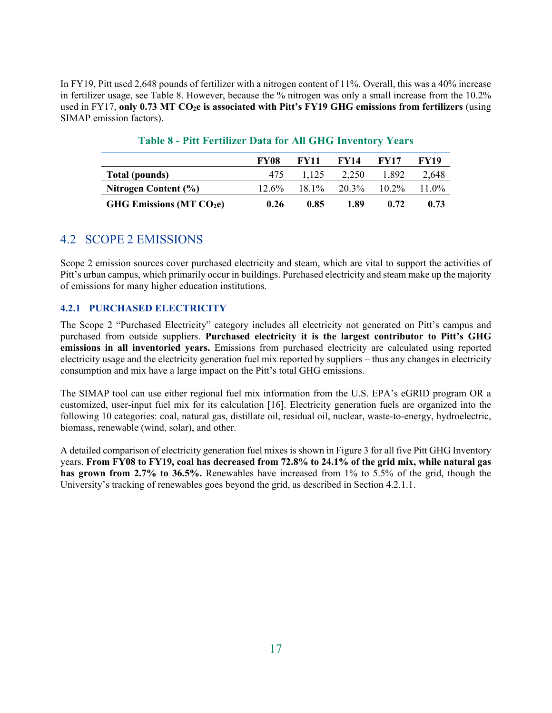In FY19, Pitt used 2,648 pounds of fertilizer with a nitrogen content of 11%. Overall, this was a 40% increase in fertilizer usage, see Table 8. However, because the % nitrogen was only a small increase from the 10.2% used in FY17, only 0.73 MT CO<sub>2</sub>e is associated with Pitt's FY19 GHG emissions from fertilizers (using SIMAP emission factors).

|                            | <b>FY08</b> | <b>FY11</b> | <b>FY14</b> | <b>FY17</b> | <b>FY19</b> |
|----------------------------|-------------|-------------|-------------|-------------|-------------|
| Total (pounds)             | 475         | 1.125       | 2.250       | 1.892       | 2.648       |
| Nitrogen Content (%)       | $12.6\%$    | $18.1\%$    | 20.3%       | $10.2\%$    | $11.0\%$    |
| GHG Emissions (MT $CO2e$ ) | 0.26        | 0.85        | 1.89        | 0.72        | 0.73        |

### **Table 8 - Pitt Fertilizer Data for All GHG Inventory Years**

## 4.2 SCOPE 2 EMISSIONS

Scope 2 emission sources cover purchased electricity and steam, which are vital to support the activities of Pitt's urban campus, which primarily occur in buildings. Purchased electricity and steam make up the majority of emissions for many higher education institutions.

#### **4.2.1 PURCHASED ELECTRICITY**

The Scope 2 "Purchased Electricity" category includes all electricity not generated on Pitt's campus and purchased from outside suppliers. **Purchased electricity it is the largest contributor to Pitt's GHG emissions in all inventoried years.** Emissions from purchased electricity are calculated using reported electricity usage and the electricity generation fuel mix reported by suppliers – thus any changes in electricity consumption and mix have a large impact on the Pitt's total GHG emissions.

The SIMAP tool can use either regional fuel mix information from the U.S. EPA's eGRID program OR a customized, user-input fuel mix for its calculation [16]. Electricity generation fuels are organized into the following 10 categories: coal, natural gas, distillate oil, residual oil, nuclear, waste-to-energy, hydroelectric, biomass, renewable (wind, solar), and other.

A detailed comparison of electricity generation fuel mixes is shown in Figure 3 for all five Pitt GHG Inventory years. **From FY08 to FY19, coal has decreased from 72.8% to 24.1% of the grid mix, while natural gas has grown from 2.7% to 36.5%.** Renewables have increased from 1% to 5.5% of the grid, though the University's tracking of renewables goes beyond the grid, as described in Section 4.2.1.1.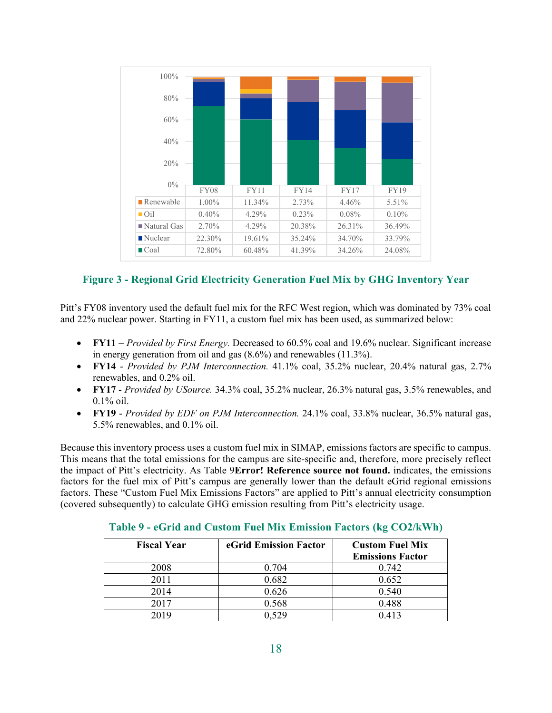| 100%                       |          |        |             |             |          |
|----------------------------|----------|--------|-------------|-------------|----------|
| 80%                        |          |        |             |             |          |
| 60%                        |          |        |             |             |          |
| 40%                        |          |        |             |             |          |
| 20%                        |          |        |             |             |          |
| $0\%$                      |          |        |             |             |          |
|                            | FY08     | FY11   | <b>FY14</b> | <b>FY17</b> | FY19     |
| $\blacksquare$ Renewable   | $1.00\%$ | 11.34% | 2.73%       | 4.46%       | 5.51%    |
| $\Box$ Oil                 | $0.40\%$ | 4.29%  | 0.23%       | $0.08\%$    | $0.10\%$ |
| $\blacksquare$ Natural Gas | 2.70%    | 4.29%  | 20.38%      | 26.31%      | 36.49%   |
| $\blacksquare$ Nuclear     | 22.30%   | 19.61% | 35.24%      | 34.70%      | 33.79%   |
| $\Box$ Coal                | 72.80%   | 60.48% | 41.39%      | 34.26%      | 24.08%   |

## **Figure 3 - Regional Grid Electricity Generation Fuel Mix by GHG Inventory Year**

Pitt's FY08 inventory used the default fuel mix for the RFC West region, which was dominated by 73% coal and 22% nuclear power. Starting in FY11, a custom fuel mix has been used, as summarized below:

- **FY11** = *Provided by First Energy.* Decreased to 60.5% coal and 19.6% nuclear. Significant increase in energy generation from oil and gas (8.6%) and renewables (11.3%).
- **FY14** *Provided by PJM Interconnection.* 41.1% coal, 35.2% nuclear, 20.4% natural gas, 2.7% renewables, and 0.2% oil.
- **FY17** *Provided by USource.* 34.3% coal, 35.2% nuclear, 26.3% natural gas, 3.5% renewables, and 0.1% oil.
- **FY19** *Provided by EDF on PJM Interconnection.* 24.1% coal, 33.8% nuclear, 36.5% natural gas, 5.5% renewables, and 0.1% oil.

Because this inventory process uses a custom fuel mix in SIMAP, emissions factors are specific to campus. This means that the total emissions for the campus are site-specific and, therefore, more precisely reflect the impact of Pitt's electricity. As Table 9**Error! Reference source not found.** indicates, the emissions factors for the fuel mix of Pitt's campus are generally lower than the default eGrid regional emissions factors. These "Custom Fuel Mix Emissions Factors" are applied to Pitt's annual electricity consumption (covered subsequently) to calculate GHG emission resulting from Pitt's electricity usage.

| <b>Fiscal Year</b> | eGrid Emission Factor | <b>Custom Fuel Mix</b><br><b>Emissions Factor</b> |
|--------------------|-----------------------|---------------------------------------------------|
| 2008               | 0.704                 | 0.742                                             |
| 2011               | 0.682                 | 0.652                                             |
| 2014               | 0.626                 | 0.540                                             |
| 2017               | 0.568                 | 0.488                                             |
| 2019               | 0.529                 | 0.413                                             |

#### **Table 9 - eGrid and Custom Fuel Mix Emission Factors (kg CO2/kWh)**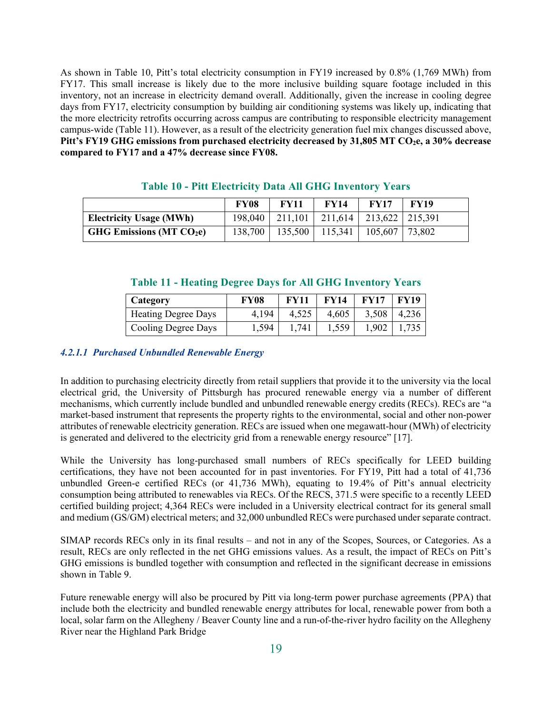As shown in Table 10, Pitt's total electricity consumption in FY19 increased by 0.8% (1,769 MWh) from FY17. This small increase is likely due to the more inclusive building square footage included in this inventory, not an increase in electricity demand overall. Additionally, given the increase in cooling degree days from FY17, electricity consumption by building air conditioning systems was likely up, indicating that the more electricity retrofits occurring across campus are contributing to responsible electricity management campus-wide (Table 11). However, as a result of the electricity generation fuel mix changes discussed above, Pitt's FY19 GHG emissions from purchased electricity decreased by 31,805 MT CO<sub>2</sub>e, a 30% decrease **compared to FY17 and a 47% decrease since FY08.**

|                                             | <b>FY08</b> | <b>FY11</b> | <b>FY14</b>                           | <b>FV17</b> | <b>FY19</b>      |
|---------------------------------------------|-------------|-------------|---------------------------------------|-------------|------------------|
| <b>Electricity Usage (MWh)</b>              | 198,040     |             | 211,101   211,614   213,622   215,391 |             |                  |
| <b>GHG Emissions (MT <math>CO2e</math>)</b> | 138,700     | 135,500     | 115,341                               | 105,607     | $ 73,802\rangle$ |

#### **Table 10 - Pitt Electricity Data All GHG Inventory Years**

#### **Table 11 - Heating Degree Days for All GHG Inventory Years**

| Category                   | <b>FY08</b> | <b>FV11</b> | <b>FY14</b> | FV17  | <b>FV19</b> |
|----------------------------|-------------|-------------|-------------|-------|-------------|
| <b>Heating Degree Days</b> | 4.194       | 4,525       | 4,605       | 3,508 | 4,236       |
| Cooling Degree Days        | 1,594       | 1.741       | 1,559       | 1,902 |             |

#### *4.2.1.1 Purchased Unbundled Renewable Energy*

In addition to purchasing electricity directly from retail suppliers that provide it to the university via the local electrical grid, the University of Pittsburgh has procured renewable energy via a number of different mechanisms, which currently include bundled and unbundled renewable energy credits (RECs). RECs are "a market-based instrument that represents the property rights to the environmental, social and other non-power attributes of renewable electricity generation. RECs are issued when one megawatt-hour (MWh) of electricity is generated and delivered to the electricity grid from a renewable energy resource" [17].

While the University has long-purchased small numbers of RECs specifically for LEED building certifications, they have not been accounted for in past inventories. For FY19, Pitt had a total of 41,736 unbundled Green-e certified RECs (or 41,736 MWh), equating to 19.4% of Pitt's annual electricity consumption being attributed to renewables via RECs. Of the RECS, 371.5 were specific to a recently LEED certified building project; 4,364 RECs were included in a University electrical contract for its general small and medium (GS/GM) electrical meters; and 32,000 unbundled RECs were purchased under separate contract.

SIMAP records RECs only in its final results – and not in any of the Scopes, Sources, or Categories. As a result, RECs are only reflected in the net GHG emissions values. As a result, the impact of RECs on Pitt's GHG emissions is bundled together with consumption and reflected in the significant decrease in emissions shown in Table 9.

Future renewable energy will also be procured by Pitt via long-term power purchase agreements (PPA) that include both the electricity and bundled renewable energy attributes for local, renewable power from both a local, solar farm on the Allegheny / Beaver County line and a run-of-the-river hydro facility on the Allegheny River near the Highland Park Bridge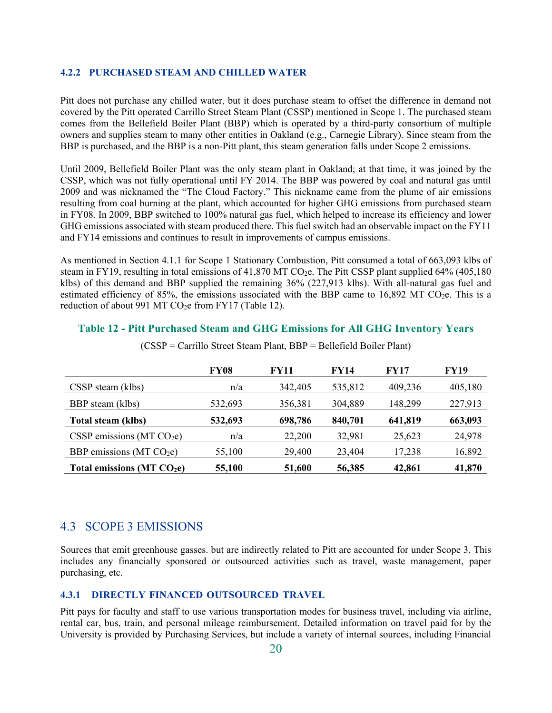#### **4.2.2 PURCHASED STEAM AND CHILLED WATER**

Pitt does not purchase any chilled water, but it does purchase steam to offset the difference in demand not covered by the Pitt operated Carrillo Street Steam Plant (CSSP) mentioned in Scope 1. The purchased steam comes from the Bellefield Boiler Plant (BBP) which is operated by a third-party consortium of multiple owners and supplies steam to many other entities in Oakland (e.g., Carnegie Library). Since steam from the BBP is purchased, and the BBP is a non-Pitt plant, this steam generation falls under Scope 2 emissions.

Until 2009, Bellefield Boiler Plant was the only steam plant in Oakland; at that time, it was joined by the CSSP, which was not fully operational until FY 2014. The BBP was powered by coal and natural gas until 2009 and was nicknamed the "The Cloud Factory." This nickname came from the plume of air emissions resulting from coal burning at the plant, which accounted for higher GHG emissions from purchased steam in FY08. In 2009, BBP switched to 100% natural gas fuel, which helped to increase its efficiency and lower GHG emissions associated with steam produced there. This fuel switch had an observable impact on the FY11 and FY14 emissions and continues to result in improvements of campus emissions.

As mentioned in Section 4.1.1 for Scope 1 Stationary Combustion, Pitt consumed a total of 663,093 klbs of steam in FY19, resulting in total emissions of 41,870 MT CO<sub>2</sub>e. The Pitt CSSP plant supplied 64% (405,180) klbs) of this demand and BBP supplied the remaining 36% (227,913 klbs). With all-natural gas fuel and estimated efficiency of 85%, the emissions associated with the BBP came to 16,892 MT CO<sub>2</sub>e. This is a reduction of about 991 MT  $CO<sub>2</sub>e$  from FY17 (Table 12).

#### **Table 12 - Pitt Purchased Steam and GHG Emissions for All GHG Inventory Years**

|                               | <b>FY08</b> | FY11    | FY14    | <b>FY17</b> | FY19    |
|-------------------------------|-------------|---------|---------|-------------|---------|
| CSSP steam (klbs)             | n/a         | 342,405 | 535,812 | 409,236     | 405,180 |
| BBP steam (klbs)              | 532,693     | 356,381 | 304,889 | 148,299     | 227,913 |
| <b>Total steam (klbs)</b>     | 532,693     | 698,786 | 840,701 | 641,819     | 663,093 |
| CSSP emissions (MT $CO2e$ )   | n/a         | 22,200  | 32,981  | 25,623      | 24,978  |
| BBP emissions (MT $CO2e$ )    | 55,100      | 29,400  | 23,404  | 17,238      | 16,892  |
| Total emissions ( $MT CO2e$ ) | 55,100      | 51,600  | 56,385  | 42,861      | 41,870  |

(CSSP = Carrillo Street Steam Plant, BBP = Bellefield Boiler Plant)

### 4.3 SCOPE 3 EMISSIONS

Sources that emit greenhouse gasses. but are indirectly related to Pitt are accounted for under Scope 3. This includes any financially sponsored or outsourced activities such as travel, waste management, paper purchasing, etc.

#### **4.3.1 DIRECTLY FINANCED OUTSOURCED TRAVEL**

Pitt pays for faculty and staff to use various transportation modes for business travel, including via airline, rental car, bus, train, and personal mileage reimbursement. Detailed information on travel paid for by the University is provided by Purchasing Services, but include a variety of internal sources, including Financial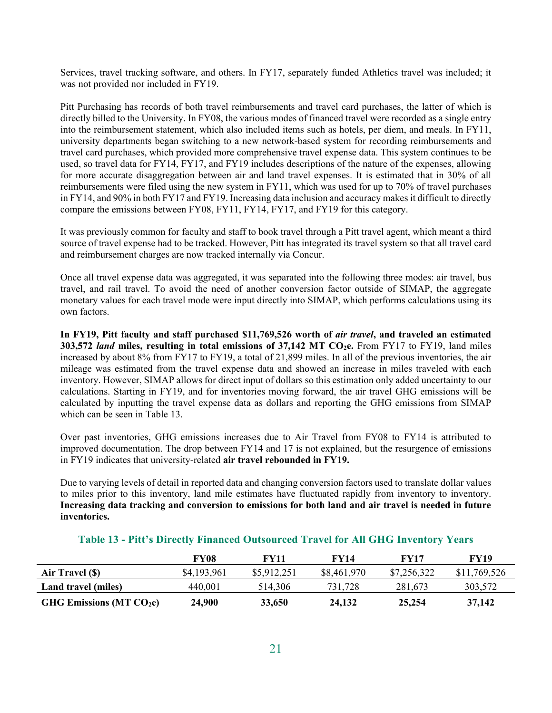Services, travel tracking software, and others. In FY17, separately funded Athletics travel was included; it was not provided nor included in FY19.

Pitt Purchasing has records of both travel reimbursements and travel card purchases, the latter of which is directly billed to the University. In FY08, the various modes of financed travel were recorded as a single entry into the reimbursement statement, which also included items such as hotels, per diem, and meals. In FY11, university departments began switching to a new network-based system for recording reimbursements and travel card purchases, which provided more comprehensive travel expense data. This system continues to be used, so travel data for FY14, FY17, and FY19 includes descriptions of the nature of the expenses, allowing for more accurate disaggregation between air and land travel expenses. It is estimated that in 30% of all reimbursements were filed using the new system in FY11, which was used for up to 70% of travel purchases in FY14, and 90% in both FY17 and FY19. Increasing data inclusion and accuracy makes it difficult to directly compare the emissions between FY08, FY11, FY14, FY17, and FY19 for this category.

It was previously common for faculty and staff to book travel through a Pitt travel agent, which meant a third source of travel expense had to be tracked. However, Pitt has integrated its travel system so that all travel card and reimbursement charges are now tracked internally via Concur.

Once all travel expense data was aggregated, it was separated into the following three modes: air travel, bus travel, and rail travel. To avoid the need of another conversion factor outside of SIMAP, the aggregate monetary values for each travel mode were input directly into SIMAP, which performs calculations using its own factors.

**In FY19, Pitt faculty and staff purchased \$11,769,526 worth of** *air travel***, and traveled an estimated 303,572** *land* **miles, resulting in total emissions of 37,142 MT CO<sub>2</sub>e. From FY17 to FY19, land miles** increased by about 8% from FY17 to FY19, a total of 21,899 miles. In all of the previous inventories, the air mileage was estimated from the travel expense data and showed an increase in miles traveled with each inventory. However, SIMAP allows for direct input of dollars so this estimation only added uncertainty to our calculations. Starting in FY19, and for inventories moving forward, the air travel GHG emissions will be calculated by inputting the travel expense data as dollars and reporting the GHG emissions from SIMAP which can be seen in Table 13.

Over past inventories, GHG emissions increases due to Air Travel from FY08 to FY14 is attributed to improved documentation. The drop between FY14 and 17 is not explained, but the resurgence of emissions in FY19 indicates that university-related **air travel rebounded in FY19.** 

Due to varying levels of detail in reported data and changing conversion factors used to translate dollar values to miles prior to this inventory, land mile estimates have fluctuated rapidly from inventory to inventory. **Increasing data tracking and conversion to emissions for both land and air travel is needed in future inventories.** 

|                             | FY08        | <b>FY11</b> | FY14        | <b>FY17</b> | <b>FY19</b>  |
|-----------------------------|-------------|-------------|-------------|-------------|--------------|
| Air Travel (\$)             | \$4,193,961 | \$5,912,251 | \$8,461,970 | \$7,256,322 | \$11,769,526 |
| Land travel (miles)         | 440,001     | 514,306     | 731,728     | 281,673     | 303,572      |
| GHG Emissions ( $MT CO2e$ ) | 24,900      | 33,650      | 24,132      | 25,254      | 37,142       |

#### **Table 13 - Pitt's Directly Financed Outsourced Travel for All GHG Inventory Years**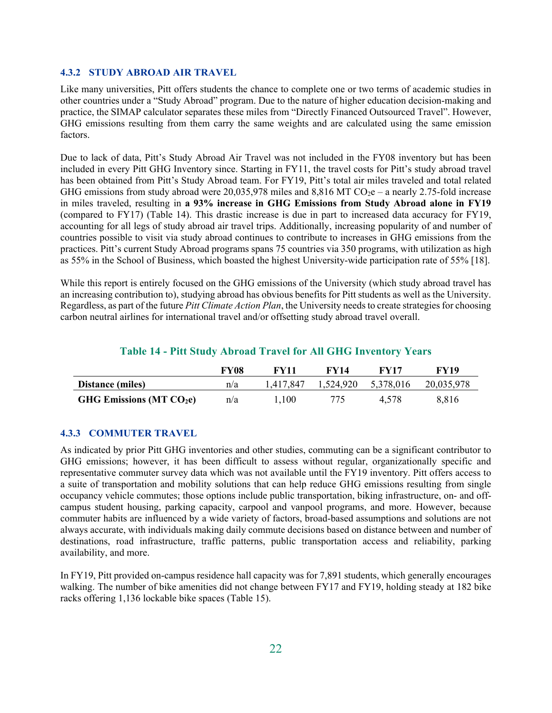#### **4.3.2 STUDY ABROAD AIR TRAVEL**

Like many universities, Pitt offers students the chance to complete one or two terms of academic studies in other countries under a "Study Abroad" program. Due to the nature of higher education decision-making and practice, the SIMAP calculator separates these miles from "Directly Financed Outsourced Travel". However, GHG emissions resulting from them carry the same weights and are calculated using the same emission factors.

Due to lack of data, Pitt's Study Abroad Air Travel was not included in the FY08 inventory but has been included in every Pitt GHG Inventory since. Starting in FY11, the travel costs for Pitt's study abroad travel has been obtained from Pitt's Study Abroad team. For FY19, Pitt's total air miles traveled and total related GHG emissions from study abroad were  $20,035,978$  miles and  $8,816$  MT CO<sub>2</sub>e – a nearly 2.75-fold increase in miles traveled, resulting in **a 93% increase in GHG Emissions from Study Abroad alone in FY19** (compared to FY17) (Table 14). This drastic increase is due in part to increased data accuracy for FY19, accounting for all legs of study abroad air travel trips. Additionally, increasing popularity of and number of countries possible to visit via study abroad continues to contribute to increases in GHG emissions from the practices. Pitt's current Study Abroad programs spans 75 countries via 350 programs, with utilization as high as 55% in the School of Business, which boasted the highest University-wide participation rate of 55% [18].

While this report is entirely focused on the GHG emissions of the University (which study abroad travel has an increasing contribution to), studying abroad has obvious benefits for Pitt students as well as the University. Regardless, as part of the future *Pitt Climate Action Plan*, the University needs to create strategies for choosing carbon neutral airlines for international travel and/or offsetting study abroad travel overall.

#### **Table 14 - Pitt Study Abroad Travel for All GHG Inventory Years**

|                            | FY08 | FV11      | FV14      | <b>FY17</b> | <b>FY19</b> |
|----------------------------|------|-----------|-----------|-------------|-------------|
| <b>Distance (miles)</b>    | n/a  | 1.417.847 | 1,524,920 | 5,378,016   | 20,035,978  |
| GHG Emissions (MT $CO2e$ ) | n/a  | 1.100     | 775       | 4.578       | 8.816       |

#### **4.3.3 COMMUTER TRAVEL**

As indicated by prior Pitt GHG inventories and other studies, commuting can be a significant contributor to GHG emissions; however, it has been difficult to assess without regular, organizationally specific and representative commuter survey data which was not available until the FY19 inventory. Pitt offers access to a suite of transportation and mobility solutions that can help reduce GHG emissions resulting from single occupancy vehicle commutes; those options include public transportation, biking infrastructure, on- and offcampus student housing, parking capacity, carpool and vanpool programs, and more. However, because commuter habits are influenced by a wide variety of factors, broad-based assumptions and solutions are not always accurate, with individuals making daily commute decisions based on distance between and number of destinations, road infrastructure, traffic patterns, public transportation access and reliability, parking availability, and more.

In FY19, Pitt provided on-campus residence hall capacity was for 7,891 students, which generally encourages walking. The number of bike amenities did not change between FY17 and FY19, holding steady at 182 bike racks offering 1,136 lockable bike spaces (Table 15).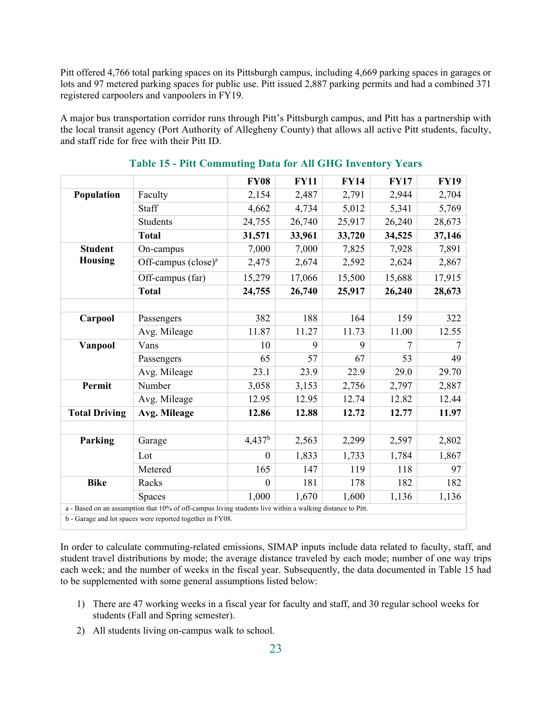Pitt offered 4,766 total parking spaces on its Pittsburgh campus, including 4,669 parking spaces in garages or lots and 97 metered parking spaces for public use. Pitt issued 2,887 parking permits and had a combined 371 registered carpoolers and vanpoolers in FY19.

A major bus transportation corridor runs through Pitt's Pittsburgh campus, and Pitt has a partnership with the local transit agency (Port Authority of Allegheny County) that allows all active Pitt students, faculty, and staff ride for free with their Pitt ID.

|                      |                                                                                                           | <b>FY08</b> | <b>FY11</b> | <b>FY14</b> | <b>FY17</b> | <b>FY19</b> |
|----------------------|-----------------------------------------------------------------------------------------------------------|-------------|-------------|-------------|-------------|-------------|
| Population           | Faculty                                                                                                   | 2,154       | 2,487       | 2,791       | 2,944       | 2,704       |
|                      | Staff                                                                                                     | 4,662       | 4,734       | 5,012       | 5,341       | 5,769       |
|                      | Students                                                                                                  | 24,755      | 26,740      | 25,917      | 26,240      | 28,673      |
|                      | <b>Total</b>                                                                                              | 31,571      | 33,961      | 33,720      | 34,525      | 37,146      |
| <b>Student</b>       | On-campus                                                                                                 | 7,000       | 7,000       | 7,825       | 7,928       | 7,891       |
| <b>Housing</b>       | Off-campus (close) <sup>a</sup>                                                                           | 2,475       | 2,674       | 2,592       | 2,624       | 2,867       |
|                      | Off-campus (far)                                                                                          | 15,279      | 17,066      | 15,500      | 15,688      | 17,915      |
|                      | <b>Total</b>                                                                                              | 24,755      | 26,740      | 25,917      | 26,240      | 28,673      |
|                      |                                                                                                           |             |             |             |             |             |
| Carpool              | Passengers                                                                                                | 382         | 188         | 164         | 159         | 322         |
|                      | Avg. Mileage                                                                                              | 11.87       | 11.27       | 11.73       | 11.00       | 12.55       |
| Vanpool              | Vans                                                                                                      | 10          | 9           | 9           | 7           | 7           |
|                      | Passengers                                                                                                | 65          | 57          | 67          | 53          | 49          |
|                      | Avg. Mileage                                                                                              | 23.1        | 23.9        | 22.9        | 29.0        | 29.70       |
| Permit               | Number                                                                                                    | 3,058       | 3,153       | 2,756       | 2,797       | 2,887       |
|                      | Avg. Mileage                                                                                              | 12.95       | 12.95       | 12.74       | 12.82       | 12.44       |
| <b>Total Driving</b> | Avg. Mileage                                                                                              | 12.86       | 12.88       | 12.72       | 12.77       | 11.97       |
|                      |                                                                                                           |             |             |             |             |             |
| Parking              | Garage                                                                                                    | $4,437^b$   | 2,563       | 2,299       | 2,597       | 2,802       |
|                      | Lot                                                                                                       | $\theta$    | 1,833       | 1,733       | 1,784       | 1,867       |
|                      | Metered                                                                                                   | 165         | 147         | 119         | 118         | 97          |
| <b>Bike</b>          | Racks                                                                                                     | $\theta$    | 181         | 178         | 182         | 182         |
|                      | <b>Spaces</b>                                                                                             | 1,000       | 1,670       | 1,600       | 1,136       | 1,136       |
|                      | a - Based on an assumption that 10% of off-campus living students live within a walking distance to Pitt. |             |             |             |             |             |
|                      | b - Garage and lot spaces were reported together in FY08.                                                 |             |             |             |             |             |

#### **Table 15 - Pitt Commuting Data for All GHG Inventory Years**

In order to calculate commuting-related emissions, SIMAP inputs include data related to faculty, staff, and student travel distributions by mode; the average distance traveled by each mode; number of one way trips each week; and the number of weeks in the fiscal year. Subsequently, the data documented in Table 15 had to be supplemented with some general assumptions listed below:

- 1) There are 47 working weeks in a fiscal year for faculty and staff, and 30 regular school weeks for students (Fall and Spring semester).
- 2) All students living on-campus walk to school.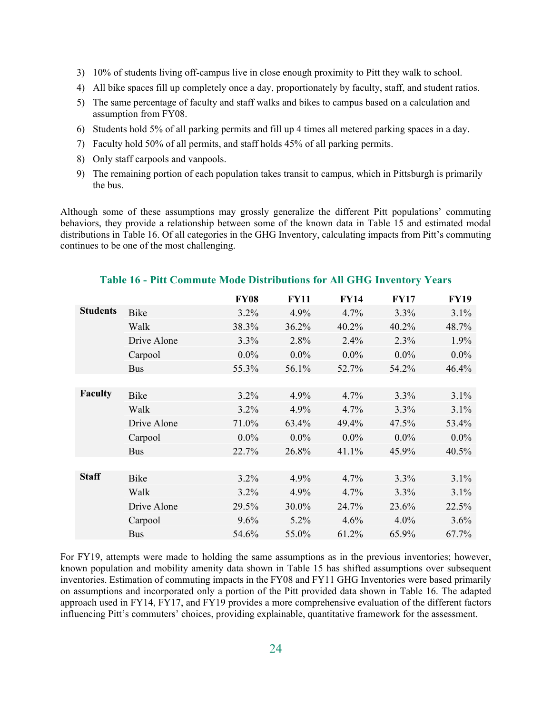- 3) 10% of students living off-campus live in close enough proximity to Pitt they walk to school.
- 4) All bike spaces fill up completely once a day, proportionately by faculty, staff, and student ratios.
- 5) The same percentage of faculty and staff walks and bikes to campus based on a calculation and assumption from FY08.
- 6) Students hold 5% of all parking permits and fill up 4 times all metered parking spaces in a day.
- 7) Faculty hold 50% of all permits, and staff holds 45% of all parking permits.
- 8) Only staff carpools and vanpools.
- 9) The remaining portion of each population takes transit to campus, which in Pittsburgh is primarily the bus.

Although some of these assumptions may grossly generalize the different Pitt populations' commuting behaviors, they provide a relationship between some of the known data in Table 15 and estimated modal distributions in Table 16. Of all categories in the GHG Inventory, calculating impacts from Pitt's commuting continues to be one of the most challenging.

|                 |             | <b>FY08</b> | <b>FY11</b> | <b>FY14</b> | <b>FY17</b> | <b>FY19</b> |
|-----------------|-------------|-------------|-------------|-------------|-------------|-------------|
| <b>Students</b> | Bike        | 3.2%        | 4.9%        | 4.7%        | 3.3%        | 3.1%        |
|                 | Walk        | 38.3%       | 36.2%       | 40.2%       | 40.2%       | 48.7%       |
|                 | Drive Alone | 3.3%        | 2.8%        | 2.4%        | 2.3%        | 1.9%        |
|                 | Carpool     | $0.0\%$     | $0.0\%$     | $0.0\%$     | $0.0\%$     | $0.0\%$     |
|                 | <b>Bus</b>  | 55.3%       | 56.1%       | 52.7%       | 54.2%       | 46.4%       |
|                 |             |             |             |             |             |             |
| Faculty         | Bike        | 3.2%        | 4.9%        | 4.7%        | 3.3%        | 3.1%        |
|                 | Walk        | 3.2%        | 4.9%        | 4.7%        | 3.3%        | 3.1%        |
|                 | Drive Alone | 71.0%       | 63.4%       | 49.4%       | 47.5%       | 53.4%       |
|                 | Carpool     | $0.0\%$     | $0.0\%$     | $0.0\%$     | $0.0\%$     | $0.0\%$     |
|                 | <b>Bus</b>  | 22.7%       | 26.8%       | 41.1%       | 45.9%       | 40.5%       |
|                 |             |             |             |             |             |             |
| <b>Staff</b>    | Bike        | 3.2%        | 4.9%        | 4.7%        | 3.3%        | 3.1%        |
|                 | Walk        | $3.2\%$     | 4.9%        | 4.7%        | 3.3%        | 3.1%        |
|                 | Drive Alone | 29.5%       | 30.0%       | 24.7%       | 23.6%       | 22.5%       |
|                 | Carpool     | 9.6%        | $5.2\%$     | 4.6%        | $4.0\%$     | 3.6%        |
|                 | <b>Bus</b>  | 54.6%       | 55.0%       | 61.2%       | 65.9%       | 67.7%       |

#### **Table 16 - Pitt Commute Mode Distributions for All GHG Inventory Years**

For FY19, attempts were made to holding the same assumptions as in the previous inventories; however, known population and mobility amenity data shown in Table 15 has shifted assumptions over subsequent inventories. Estimation of commuting impacts in the FY08 and FY11 GHG Inventories were based primarily on assumptions and incorporated only a portion of the Pitt provided data shown in Table 16. The adapted approach used in FY14, FY17, and FY19 provides a more comprehensive evaluation of the different factors influencing Pitt's commuters' choices, providing explainable, quantitative framework for the assessment.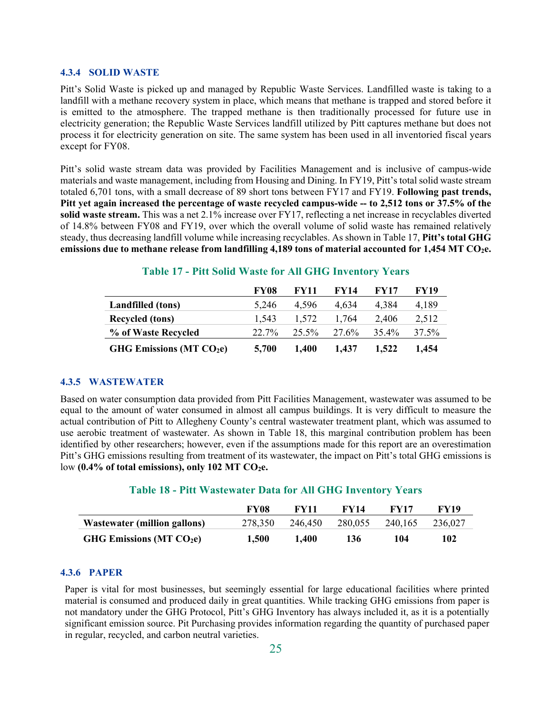#### **4.3.4 SOLID WASTE**

Pitt's Solid Waste is picked up and managed by Republic Waste Services. Landfilled waste is taking to a landfill with a methane recovery system in place, which means that methane is trapped and stored before it is emitted to the atmosphere. The trapped methane is then traditionally processed for future use in electricity generation; the Republic Waste Services landfill utilized by Pitt captures methane but does not process it for electricity generation on site. The same system has been used in all inventoried fiscal years except for FY08.

Pitt's solid waste stream data was provided by Facilities Management and is inclusive of campus-wide materials and waste management, including from Housing and Dining. In FY19, Pitt's total solid waste stream totaled 6,701 tons, with a small decrease of 89 short tons between FY17 and FY19. **Following past trends, Pitt yet again increased the percentage of waste recycled campus-wide -- to 2,512 tons or 37.5% of the solid waste stream.** This was a net 2.1% increase over FY17, reflecting a net increase in recyclables diverted of 14.8% between FY08 and FY19, over which the overall volume of solid waste has remained relatively steady, thus decreasing landfill volume while increasing recyclables. As shown in Table 17, **Pitt's total GHG emissions due to methane release from landfilling 4,189 tons of material accounted for 1,454 MT CO2e.**

|                            | <b>FY08</b> | FY11  | <b>FY14</b> | <b>FY17</b> | FY19  |
|----------------------------|-------------|-------|-------------|-------------|-------|
| <b>Landfilled</b> (tons)   | 5.246       | 4.596 | 4.634       | 4.384       | 4,189 |
| <b>Recycled</b> (tons)     | 1.543       | 1.572 | 1.764       | 2.406       | 2.512 |
| % of Waste Recycled        | 22.7%       | 25.5% | 27.6%       | 35.4%       | 37.5% |
| GHG Emissions (MT $CO2e$ ) | 5,700       | 1.400 | 1.437       | 1,522       | 1.454 |

#### **Table 17 - Pitt Solid Waste for All GHG Inventory Years**

#### **4.3.5 WASTEWATER**

Based on water consumption data provided from Pitt Facilities Management, wastewater was assumed to be equal to the amount of water consumed in almost all campus buildings. It is very difficult to measure the actual contribution of Pitt to Allegheny County's central wastewater treatment plant, which was assumed to use aerobic treatment of wastewater. As shown in Table 18, this marginal contribution problem has been identified by other researchers; however, even if the assumptions made for this report are an overestimation Pitt's GHG emissions resulting from treatment of its wastewater, the impact on Pitt's total GHG emissions is low **(0.4% of total emissions), only 102 MT CO<sub>2</sub>e.** 

#### **Table 18 - Pitt Wastewater Data for All GHG Inventory Years**

|                                     | FY08    | FV11    | FV14    | FV17    | FV19    |
|-------------------------------------|---------|---------|---------|---------|---------|
| <b>Wastewater (million gallons)</b> | 278.350 | 246.450 | 280.055 | 240.165 | 236,027 |
| GHG Emissions ( $MT CO2e$ )         | 1.500   | 1.400   | 136     | 104     | 102     |

#### **4.3.6 PAPER**

Paper is vital for most businesses, but seemingly essential for large educational facilities where printed material is consumed and produced daily in great quantities. While tracking GHG emissions from paper is not mandatory under the GHG Protocol, Pitt's GHG Inventory has always included it, as it is a potentially significant emission source. Pit Purchasing provides information regarding the quantity of purchased paper in regular, recycled, and carbon neutral varieties.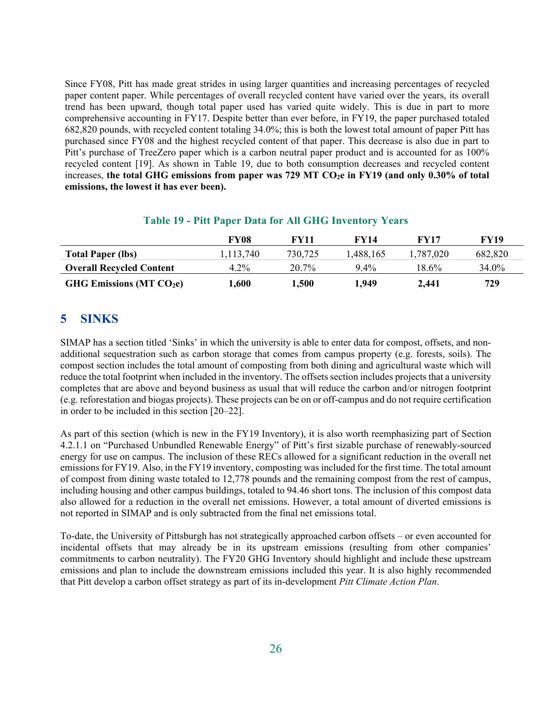Since FY08, Pitt has made great strides in using larger quantities and increasing percentages of recycled paper content paper. While percentages of overall recycled content have varied over the years, its overall trend has been upward, though total paper used has varied quite widely. This is due in part to more comprehensive accounting in FY17. Despite better than ever before, in FY19, the paper purchased totaled 682,820 pounds, with recycled content totaling 34.0%; this is both the lowest total amount of paper Pitt has purchased since FY08 and the highest recycled content of that paper. This decrease is also due in part to Pitt's purchase of TreeZero paper which is a carbon neutral paper product and is accounted for as 100% recycled content [19]. As shown in Table 19, due to both consumption decreases and recycled content increases, the total GHG emissions from paper was 729 MT CO<sub>2</sub>e in FY19 (and only 0.30% of total **emissions, the lowest it has ever been).**

#### **Table 19 - Pitt Paper Data for All GHG Inventory Years**

|                                 | FY08      | FY11    | <b>FY14</b> | <b>FY17</b> | FY19    |
|---------------------------------|-----------|---------|-------------|-------------|---------|
| <b>Total Paper (lbs)</b>        | 1.113.740 | 730.725 | 1,488,165   | 1,787,020   | 682,820 |
| <b>Overall Recycled Content</b> | $4.2\%$   | 20.7%   | $9.4\%$     | 18.6%       | 34.0%   |
| GHG Emissions (MT $CO2e$ )      | 1,600     | 1,500   | 1,949       | 2.441       | 729     |

### **5 SINKS**

SIMAP has a section titled 'Sinks' in which the university is able to enter data for compost, offsets, and nonadditional sequestration such as carbon storage that comes from campus property (e.g. forests, soils). The compost section includes the total amount of composting from both dining and agricultural waste which will reduce the total footprint when included in the inventory. The offsets section includes projects that a university completes that are above and beyond business as usual that will reduce the carbon and/or nitrogen footprint (e.g. reforestation and biogas projects). These projects can be on or off-campus and do not require certification in order to be included in this section [20–22].

As part of this section (which is new in the FY19 Inventory), it is also worth reemphasizing part of Section 4.2.1.1 on "Purchased Unbundled Renewable Energy" of Pitt's first sizable purchase of renewably-sourced energy for use on campus. The inclusion of these RECs allowed for a significant reduction in the overall net emissions for FY19. Also, in the FY19 inventory, composting was included for the first time. The total amount of compost from dining waste totaled to 12,778 pounds and the remaining compost from the rest of campus, including housing and other campus buildings, totaled to 94.46 short tons. The inclusion of this compost data also allowed for a reduction in the overall net emissions. However, a total amount of diverted emissions is not reported in SIMAP and is only subtracted from the final net emissions total.

To-date, the University of Pittsburgh has not strategically approached carbon offsets – or even accounted for incidental offsets that may already be in its upstream emissions (resulting from other companies' commitments to carbon neutrality). The FY20 GHG Inventory should highlight and include these upstream emissions and plan to include the downstream emissions included this year. It is also highly recommended that Pitt develop a carbon offset strategy as part of its in-development *Pitt Climate Action Plan*.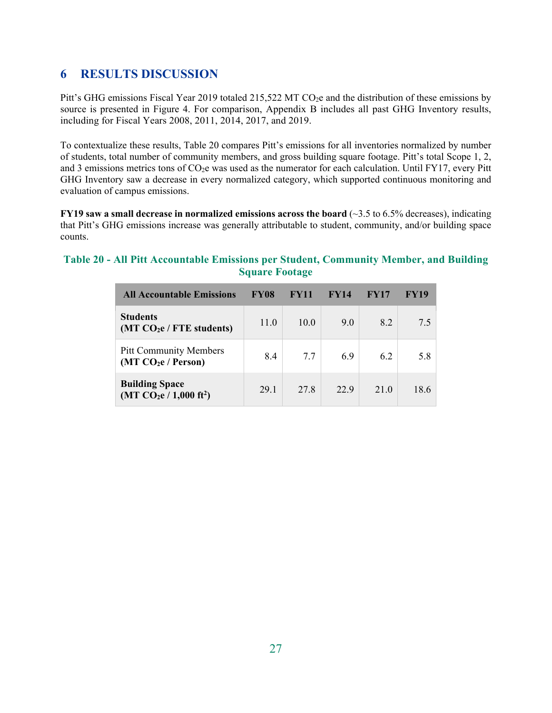## **6 RESULTS DISCUSSION**

Pitt's GHG emissions Fiscal Year 2019 totaled 215,522 MT CO<sub>2</sub>e and the distribution of these emissions by source is presented in Figure 4. For comparison, Appendix B includes all past GHG Inventory results, including for Fiscal Years 2008, 2011, 2014, 2017, and 2019.

To contextualize these results, Table 20 compares Pitt's emissions for all inventories normalized by number of students, total number of community members, and gross building square footage. Pitt's total Scope 1, 2, and 3 emissions metrics tons of  $CO<sub>2</sub>e$  was used as the numerator for each calculation. Until FY17, every Pitt GHG Inventory saw a decrease in every normalized category, which supported continuous monitoring and evaluation of campus emissions.

**FY19 saw a small decrease in normalized emissions across the board (** $\sim$ **3.5 to 6.5% decreases), indicating** that Pitt's GHG emissions increase was generally attributable to student, community, and/or building space counts.

#### **Table 20 - All Pitt Accountable Emissions per Student, Community Member, and Building Square Footage**

| <b>All Accountable Emissions</b>                                 | FY08 | <b>FY11</b> | FY14 | FY17 | FY19 |
|------------------------------------------------------------------|------|-------------|------|------|------|
| <b>Students</b><br>(MT CO <sub>2</sub> e / FTE students)         | 11.0 | 10.0        | 9.0  | 8.2  | 7.5  |
| <b>Pitt Community Members</b><br>(MT CO <sub>2</sub> e / Person) | 8.4  | 7.7         | 6.9  | 6.2  | 5.8  |
| <b>Building Space</b><br>$(MT CO2e / 1,000 ft2)$                 | 29.1 | 27.8        | 22.9 | 21.0 | 18.6 |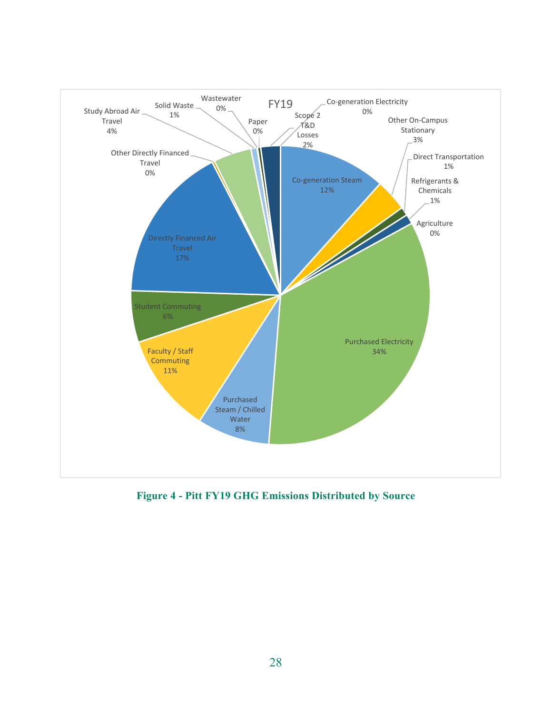

**Figure 4 - Pitt FY19 GHG Emissions Distributed by Source**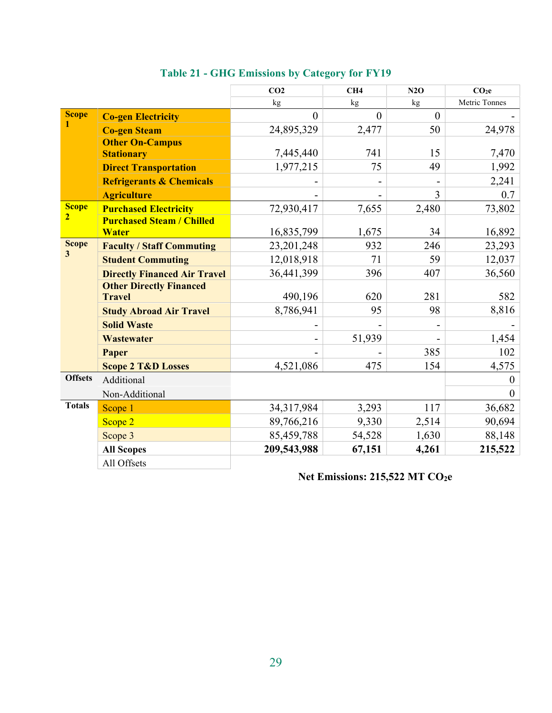|                                         |                                     | CO <sub>2</sub> | CH4      | N2O            | CO <sub>2</sub> e |
|-----------------------------------------|-------------------------------------|-----------------|----------|----------------|-------------------|
|                                         |                                     | kg              | kg       | kg             | Metric Tonnes     |
| <b>Scope</b>                            | <b>Co-gen Electricity</b>           | $\theta$        | $\theta$ | $\overline{0}$ |                   |
| 1                                       | <b>Co-gen Steam</b>                 | 24,895,329      | 2,477    | 50             | 24,978            |
|                                         | <b>Other On-Campus</b>              |                 |          |                |                   |
|                                         | <b>Stationary</b>                   | 7,445,440       | 741      | 15             | 7,470             |
|                                         | <b>Direct Transportation</b>        | 1,977,215       | 75       | 49             | 1,992             |
|                                         | <b>Refrigerants &amp; Chemicals</b> |                 |          |                | 2,241             |
|                                         | <b>Agriculture</b>                  |                 |          | 3              | 0.7               |
| <b>Scope</b>                            | <b>Purchased Electricity</b>        | 72,930,417      | 7,655    | 2,480          | 73,802            |
| $\overline{2}$                          | <b>Purchased Steam / Chilled</b>    |                 |          |                |                   |
|                                         | <b>Water</b>                        | 16,835,799      | 1,675    | 34             | 16,892            |
| <b>Scope</b><br>$\overline{\mathbf{3}}$ | <b>Faculty / Staff Commuting</b>    | 23, 201, 248    | 932      | 246            | 23,293            |
|                                         | <b>Student Commuting</b>            | 12,018,918      | 71       | 59             | 12,037            |
|                                         | <b>Directly Financed Air Travel</b> | 36,441,399      | 396      | 407            | 36,560            |
|                                         | <b>Other Directly Financed</b>      |                 |          |                |                   |
|                                         | <b>Travel</b>                       | 490,196         | 620      | 281            | 582               |
|                                         | <b>Study Abroad Air Travel</b>      | 8,786,941       | 95       | 98             | 8,816             |
|                                         | <b>Solid Waste</b>                  |                 |          |                |                   |
|                                         | <b>Wastewater</b>                   |                 | 51,939   |                | 1,454             |
|                                         | Paper                               |                 |          | 385            | 102               |
|                                         | <b>Scope 2 T&amp;D Losses</b>       | 4,521,086       | 475      | 154            | 4,575             |
| <b>Offsets</b>                          | Additional                          |                 |          |                | $\theta$          |
|                                         | Non-Additional                      |                 |          |                | $\overline{0}$    |
| <b>Totals</b>                           | Scope 1                             | 34,317,984      | 3,293    | 117            | 36,682            |
|                                         | Scope 2                             | 89,766,216      | 9,330    | 2,514          | 90,694            |
|                                         | Scope 3                             | 85,459,788      | 54,528   | 1,630          | 88,148            |
|                                         | <b>All Scopes</b>                   | 209,543,988     | 67,151   | 4,261          | 215,522           |
|                                         | All Offsets                         |                 |          |                |                   |

## **Table 21 - GHG Emissions by Category for FY19**

## **Net Emissions: 215,522 MT CO<sub>2</sub>e**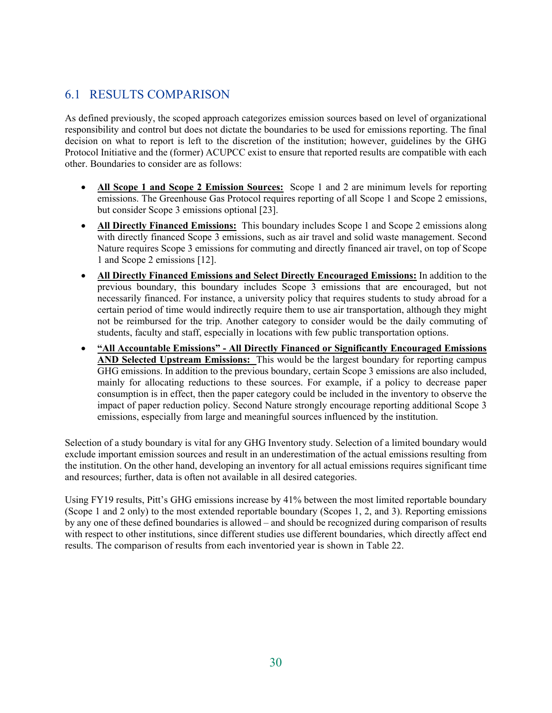## 6.1 RESULTS COMPARISON

As defined previously, the scoped approach categorizes emission sources based on level of organizational responsibility and control but does not dictate the boundaries to be used for emissions reporting. The final decision on what to report is left to the discretion of the institution; however, guidelines by the GHG Protocol Initiative and the (former) ACUPCC exist to ensure that reported results are compatible with each other. Boundaries to consider are as follows:

- **All Scope 1 and Scope 2 Emission Sources:** Scope 1 and 2 are minimum levels for reporting emissions. The Greenhouse Gas Protocol requires reporting of all Scope 1 and Scope 2 emissions, but consider Scope 3 emissions optional [23].
- All Directly Financed Emissions: This boundary includes Scope 1 and Scope 2 emissions along with directly financed Scope 3 emissions, such as air travel and solid waste management. Second Nature requires Scope 3 emissions for commuting and directly financed air travel, on top of Scope 1 and Scope 2 emissions [12].
- **All Directly Financed Emissions and Select Directly Encouraged Emissions:** In addition to the previous boundary, this boundary includes Scope 3 emissions that are encouraged, but not necessarily financed. For instance, a university policy that requires students to study abroad for a certain period of time would indirectly require them to use air transportation, although they might not be reimbursed for the trip. Another category to consider would be the daily commuting of students, faculty and staff, especially in locations with few public transportation options.
- **"All Accountable Emissions" All Directly Financed or Significantly Encouraged Emissions AND Selected Upstream Emissions:** This would be the largest boundary for reporting campus GHG emissions. In addition to the previous boundary, certain Scope 3 emissions are also included, mainly for allocating reductions to these sources. For example, if a policy to decrease paper consumption is in effect, then the paper category could be included in the inventory to observe the impact of paper reduction policy. Second Nature strongly encourage reporting additional Scope 3 emissions, especially from large and meaningful sources influenced by the institution.

Selection of a study boundary is vital for any GHG Inventory study. Selection of a limited boundary would exclude important emission sources and result in an underestimation of the actual emissions resulting from the institution. On the other hand, developing an inventory for all actual emissions requires significant time and resources; further, data is often not available in all desired categories.

Using FY19 results, Pitt's GHG emissions increase by 41% between the most limited reportable boundary (Scope 1 and 2 only) to the most extended reportable boundary (Scopes 1, 2, and 3). Reporting emissions by any one of these defined boundaries is allowed – and should be recognized during comparison of results with respect to other institutions, since different studies use different boundaries, which directly affect end results. The comparison of results from each inventoried year is shown in Table 22.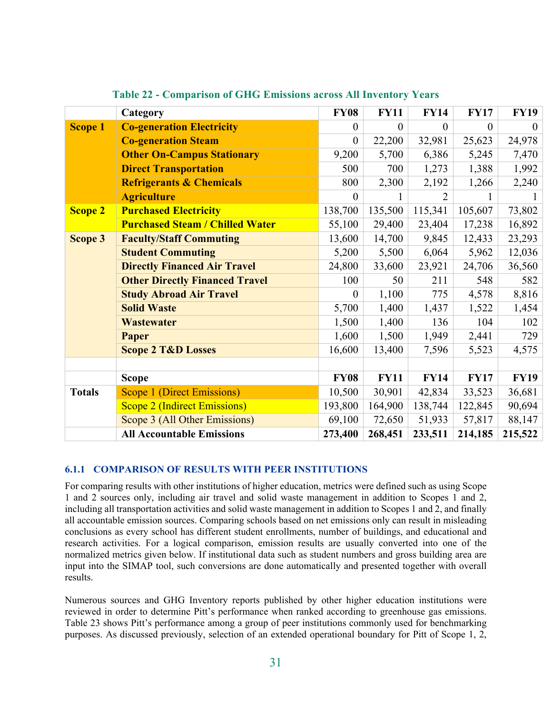|                | Category                               | <b>FY08</b>    | <b>FY11</b>    | <b>FY14</b>    | <b>FY17</b> | <b>FY19</b> |
|----------------|----------------------------------------|----------------|----------------|----------------|-------------|-------------|
| <b>Scope 1</b> | <b>Co-generation Electricity</b>       | $\theta$       | $\overline{0}$ | $\overline{0}$ | $\theta$    | $\Omega$    |
|                | <b>Co-generation Steam</b>             | $\theta$       | 22,200         | 32,981         | 25,623      | 24,978      |
|                | <b>Other On-Campus Stationary</b>      | 9,200          | 5,700          | 6,386          | 5,245       | 7,470       |
|                | <b>Direct Transportation</b>           | 500            | 700            | 1,273          | 1,388       | 1,992       |
|                | <b>Refrigerants &amp; Chemicals</b>    | 800            | 2,300          | 2,192          | 1,266       | 2,240       |
|                | <b>Agriculture</b>                     | $\theta$       |                | 2              |             | 1           |
| <b>Scope 2</b> | <b>Purchased Electricity</b>           | 138,700        | 135,500        | 115,341        | 105,607     | 73,802      |
|                | <b>Purchased Steam / Chilled Water</b> | 55,100         | 29,400         | 23,404         | 17,238      | 16,892      |
| Scope 3        | <b>Faculty/Staff Commuting</b>         | 13,600         | 14,700         | 9,845          | 12,433      | 23,293      |
|                | <b>Student Commuting</b>               | 5,200          | 5,500          | 6,064          | 5,962       | 12,036      |
|                | <b>Directly Financed Air Travel</b>    | 24,800         | 33,600         | 23,921         | 24,706      | 36,560      |
|                | <b>Other Directly Financed Travel</b>  | 100            | 50             | 211            | 548         | 582         |
|                | <b>Study Abroad Air Travel</b>         | $\overline{0}$ | 1,100          | 775            | 4,578       | 8,816       |
|                | <b>Solid Waste</b>                     | 5,700          | 1,400          | 1,437          | 1,522       | 1,454       |
|                | <b>Wastewater</b>                      | 1,500          | 1,400          | 136            | 104         | 102         |
|                | Paper                                  | 1,600          | 1,500          | 1,949          | 2,441       | 729         |
|                | <b>Scope 2 T&amp;D Losses</b>          | 16,600         | 13,400         | 7,596          | 5,523       | 4,575       |
|                |                                        |                |                |                |             |             |
|                | <b>Scope</b>                           | <b>FY08</b>    | <b>FY11</b>    | <b>FY14</b>    | <b>FY17</b> | <b>FY19</b> |
| <b>Totals</b>  | <b>Scope 1 (Direct Emissions)</b>      | 10,500         | 30,901         | 42,834         | 33,523      | 36,681      |
|                | <b>Scope 2 (Indirect Emissions)</b>    | 193,800        | 164,900        | 138,744        | 122,845     | 90,694      |
|                | Scope 3 (All Other Emissions)          | 69,100         | 72,650         | 51,933         | 57,817      | 88,147      |
|                | <b>All Accountable Emissions</b>       | 273,400        | 268,451        | 233,511        | 214,185     | 215,522     |

**Table 22 - Comparison of GHG Emissions across All Inventory Years** 

#### **6.1.1 COMPARISON OF RESULTS WITH PEER INSTITUTIONS**

For comparing results with other institutions of higher education, metrics were defined such as using Scope 1 and 2 sources only, including air travel and solid waste management in addition to Scopes 1 and 2, including all transportation activities and solid waste management in addition to Scopes 1 and 2, and finally all accountable emission sources. Comparing schools based on net emissions only can result in misleading conclusions as every school has different student enrollments, number of buildings, and educational and research activities. For a logical comparison, emission results are usually converted into one of the normalized metrics given below. If institutional data such as student numbers and gross building area are input into the SIMAP tool, such conversions are done automatically and presented together with overall results.

Numerous sources and GHG Inventory reports published by other higher education institutions were reviewed in order to determine Pitt's performance when ranked according to greenhouse gas emissions. Table 23 shows Pitt's performance among a group of peer institutions commonly used for benchmarking purposes. As discussed previously, selection of an extended operational boundary for Pitt of Scope 1, 2,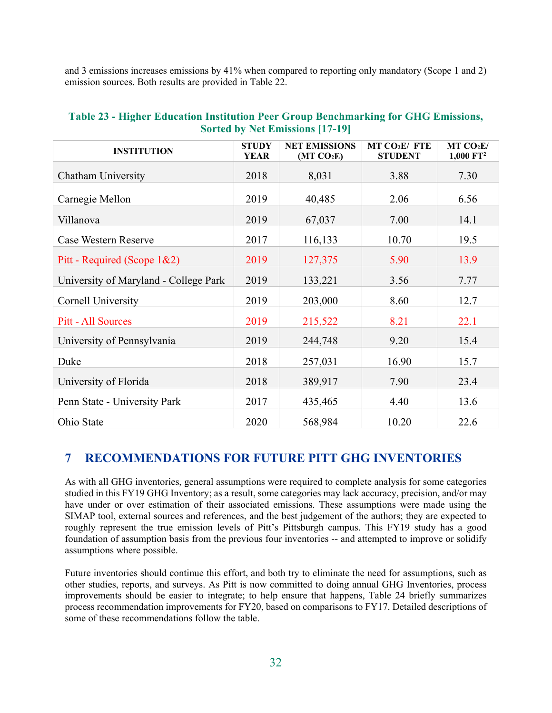and 3 emissions increases emissions by 41% when compared to reporting only mandatory (Scope 1 and 2) emission sources. Both results are provided in Table 22.

| <b>INSTITUTION</b>                    | <b>STUDY</b><br><b>YEAR</b> | <b>NET EMISSIONS</b><br>(MT CO <sub>2</sub> E) | MT CO <sub>2</sub> E/ FTE<br><b>STUDENT</b> | MT CO <sub>2</sub> E/<br>$1,000$ $FT2$ |
|---------------------------------------|-----------------------------|------------------------------------------------|---------------------------------------------|----------------------------------------|
| Chatham University                    | 2018                        | 8,031                                          | 3.88                                        | 7.30                                   |
| Carnegie Mellon                       | 2019                        | 40,485                                         | 2.06                                        | 6.56                                   |
| Villanova                             | 2019                        | 67,037                                         | 7.00                                        | 14.1                                   |
| Case Western Reserve                  | 2017                        | 116,133                                        | 10.70                                       | 19.5                                   |
| Pitt - Required (Scope 1&2)           | 2019                        | 127,375                                        | 5.90                                        | 13.9                                   |
| University of Maryland - College Park | 2019                        | 133,221                                        | 3.56                                        | 7.77                                   |
| Cornell University                    | 2019                        | 203,000                                        | 8.60                                        | 12.7                                   |
| Pitt - All Sources                    | 2019                        | 215,522                                        | 8.21                                        | 22.1                                   |
| University of Pennsylvania            | 2019                        | 244,748                                        | 9.20                                        | 15.4                                   |
| Duke                                  | 2018                        | 257,031                                        | 16.90                                       | 15.7                                   |
| University of Florida                 | 2018                        | 389,917                                        | 7.90                                        | 23.4                                   |
| Penn State - University Park          | 2017                        | 435,465                                        | 4.40                                        | 13.6                                   |
| Ohio State                            | 2020                        | 568,984                                        | 10.20                                       | 22.6                                   |

#### **Table 23 - Higher Education Institution Peer Group Benchmarking for GHG Emissions, Sorted by Net Emissions [17-19]**

## **7 RECOMMENDATIONS FOR FUTURE PITT GHG INVENTORIES**

As with all GHG inventories, general assumptions were required to complete analysis for some categories studied in this FY19 GHG Inventory; as a result, some categories may lack accuracy, precision, and/or may have under or over estimation of their associated emissions. These assumptions were made using the SIMAP tool, external sources and references, and the best judgement of the authors; they are expected to roughly represent the true emission levels of Pitt's Pittsburgh campus. This FY19 study has a good foundation of assumption basis from the previous four inventories -- and attempted to improve or solidify assumptions where possible.

Future inventories should continue this effort, and both try to eliminate the need for assumptions, such as other studies, reports, and surveys. As Pitt is now committed to doing annual GHG Inventories, process improvements should be easier to integrate; to help ensure that happens, Table 24 briefly summarizes process recommendation improvements for FY20, based on comparisons to FY17. Detailed descriptions of some of these recommendations follow the table.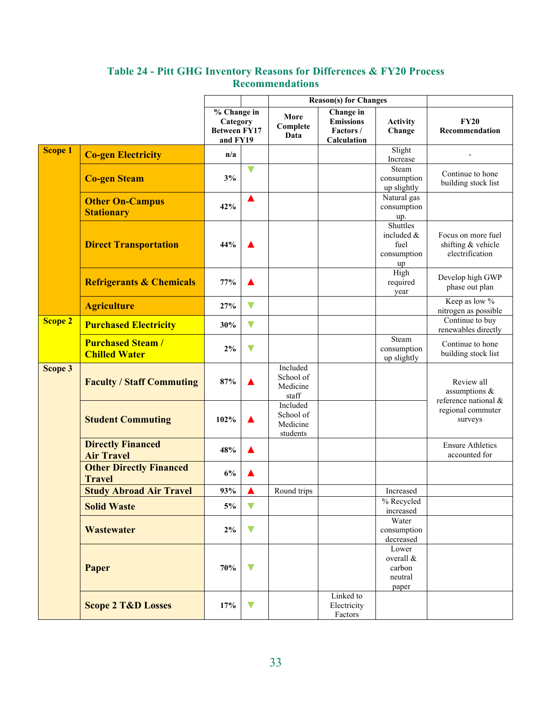|                |                                                 |                                                                        |                      |                                               | <b>Reason(s)</b> for Changes                             |                                                     |                                                             |
|----------------|-------------------------------------------------|------------------------------------------------------------------------|----------------------|-----------------------------------------------|----------------------------------------------------------|-----------------------------------------------------|-------------------------------------------------------------|
|                |                                                 | $\sqrt[6]{6}$ Change in<br>Category<br><b>Between FY17</b><br>and FY19 |                      | More<br>Complete<br>Data                      | Change in<br><b>Emissions</b><br>Factors/<br>Calculation | <b>Activity</b><br>Change                           | <b>FY20</b><br>Recommendation                               |
| <b>Scope 1</b> | <b>Co-gen Electricity</b>                       | n/a                                                                    |                      |                                               |                                                          | Slight<br>Increase                                  |                                                             |
|                | <b>Co-gen Steam</b>                             | 3%                                                                     | V                    |                                               |                                                          | Steam<br>consumption<br>up slightly                 | Continue to hone<br>building stock list                     |
|                | <b>Other On-Campus</b><br><b>Stationary</b>     | 42%                                                                    |                      |                                               |                                                          | Natural gas<br>consumption<br>up.                   |                                                             |
|                | <b>Direct Transportation</b>                    | 44%                                                                    |                      |                                               |                                                          | Shuttles<br>included &<br>fuel<br>consumption<br>up | Focus on more fuel<br>shifting & vehicle<br>electrification |
|                | <b>Refrigerants &amp; Chemicals</b>             | 77%                                                                    |                      |                                               |                                                          | High<br>required<br>year                            | Develop high GWP<br>phase out plan                          |
|                | <b>Agriculture</b>                              | 27%                                                                    | $\blacktriangledown$ |                                               |                                                          |                                                     | Keep as low %<br>nitrogen as possible                       |
| <b>Scope 2</b> | <b>Purchased Electricity</b>                    | 30%                                                                    | $\bm{\nabla}$        |                                               |                                                          |                                                     | Continue to buy<br>renewables directly                      |
|                | <b>Purchased Steam/</b><br><b>Chilled Water</b> | 2%                                                                     | $\blacktriangledown$ |                                               |                                                          | Steam<br>consumption<br>up slightly                 | Continue to hone<br>building stock list                     |
| Scope 3        | <b>Faculty / Staff Commuting</b>                | 87%                                                                    |                      | Included<br>School of<br>Medicine<br>staff    |                                                          |                                                     | Review all<br>assumptions &<br>reference national &         |
|                | <b>Student Commuting</b>                        | 102%                                                                   |                      | Included<br>School of<br>Medicine<br>students |                                                          |                                                     | regional commuter<br>surveys                                |
|                | <b>Directly Financed</b><br><b>Air Travel</b>   | 48%                                                                    |                      |                                               |                                                          |                                                     | <b>Ensure Athletics</b><br>accounted for                    |
|                | <b>Other Directly Financed</b><br><b>Travel</b> | 6%                                                                     |                      |                                               |                                                          |                                                     |                                                             |
|                | <b>Study Abroad Air Travel</b>                  | 93%                                                                    |                      | Round trips                                   |                                                          | Increased                                           |                                                             |
|                | <b>Solid Waste</b>                              | 5%                                                                     | $\blacktriangledown$ |                                               |                                                          | % Recycled<br>increased                             |                                                             |
|                | <b>Wastewater</b>                               | $2\%$                                                                  | $\blacktriangledown$ |                                               |                                                          | Water<br>consumption<br>decreased                   |                                                             |
|                | Paper                                           | 70%                                                                    | $\bm{\nabla}$        |                                               |                                                          | Lower<br>overall &<br>carbon<br>neutral<br>paper    |                                                             |
|                | <b>Scope 2 T&amp;D Losses</b>                   | 17%                                                                    | $\blacktriangledown$ |                                               | Linked to<br>Electricity<br>Factors                      |                                                     |                                                             |

### **Table 24 - Pitt GHG Inventory Reasons for Differences & FY20 Process Recommendations**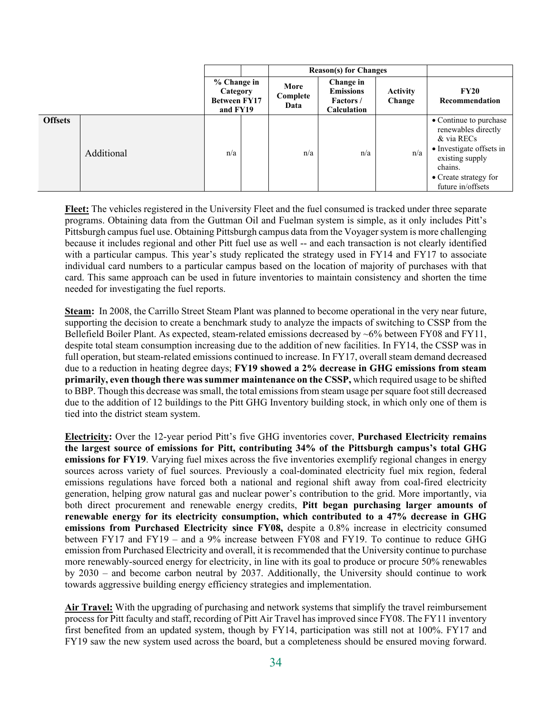|                |            |                                                            | <b>Reason(s)</b> for Changes |                          |                                                                  |                           |                                                                                                                                                                     |
|----------------|------------|------------------------------------------------------------|------------------------------|--------------------------|------------------------------------------------------------------|---------------------------|---------------------------------------------------------------------------------------------------------------------------------------------------------------------|
|                |            | % Change in<br>Category<br><b>Between FY17</b><br>and FY19 |                              | More<br>Complete<br>Data | Change in<br><b>Emissions</b><br><b>Factors</b> /<br>Calculation | <b>Activity</b><br>Change | <b>FY20</b><br>Recommendation                                                                                                                                       |
| <b>Offsets</b> | Additional | n/a                                                        |                              | n/a                      | n/a                                                              | n/a                       | • Continue to purchase<br>renewables directly<br>& via RECs<br>• Investigate offsets in<br>existing supply<br>chains.<br>• Create strategy for<br>future in/offsets |

**Fleet:** The vehicles registered in the University Fleet and the fuel consumed is tracked under three separate programs. Obtaining data from the Guttman Oil and Fuelman system is simple, as it only includes Pitt's Pittsburgh campus fuel use. Obtaining Pittsburgh campus data from the Voyager system is more challenging because it includes regional and other Pitt fuel use as well -- and each transaction is not clearly identified with a particular campus. This year's study replicated the strategy used in FY14 and FY17 to associate individual card numbers to a particular campus based on the location of majority of purchases with that card. This same approach can be used in future inventories to maintain consistency and shorten the time needed for investigating the fuel reports.

**Steam:** In 2008, the Carrillo Street Steam Plant was planned to become operational in the very near future, supporting the decision to create a benchmark study to analyze the impacts of switching to CSSP from the Bellefield Boiler Plant. As expected, steam-related emissions decreased by ~6% between FY08 and FY11, despite total steam consumption increasing due to the addition of new facilities. In FY14, the CSSP was in full operation, but steam-related emissions continued to increase. In FY17, overall steam demand decreased due to a reduction in heating degree days; **FY19 showed a 2% decrease in GHG emissions from steam primarily, even though there was summer maintenance on the CSSP,** which required usage to be shifted to BBP. Though this decrease was small, the total emissions from steam usage per square foot still decreased due to the addition of 12 buildings to the Pitt GHG Inventory building stock, in which only one of them is tied into the district steam system.

**Electricity:** Over the 12-year period Pitt's five GHG inventories cover, **Purchased Electricity remains the largest source of emissions for Pitt, contributing 34% of the Pittsburgh campus's total GHG emissions for FY19.** Varying fuel mixes across the five inventories exemplify regional changes in energy sources across variety of fuel sources. Previously a coal-dominated electricity fuel mix region, federal emissions regulations have forced both a national and regional shift away from coal-fired electricity generation, helping grow natural gas and nuclear power's contribution to the grid. More importantly, via both direct procurement and renewable energy credits, **Pitt began purchasing larger amounts of renewable energy for its electricity consumption, which contributed to a 47% decrease in GHG emissions from Purchased Electricity since FY08,** despite a 0.8% increase in electricity consumed between FY17 and FY19 – and a 9% increase between FY08 and FY19. To continue to reduce GHG emission from Purchased Electricity and overall, it is recommended that the University continue to purchase more renewably-sourced energy for electricity, in line with its goal to produce or procure 50% renewables by 2030 – and become carbon neutral by 2037. Additionally, the University should continue to work towards aggressive building energy efficiency strategies and implementation.

**Air Travel:** With the upgrading of purchasing and network systems that simplify the travel reimbursement process for Pitt faculty and staff, recording of Pitt Air Travel has improved since FY08. The FY11 inventory first benefited from an updated system, though by FY14, participation was still not at 100%. FY17 and FY19 saw the new system used across the board, but a completeness should be ensured moving forward.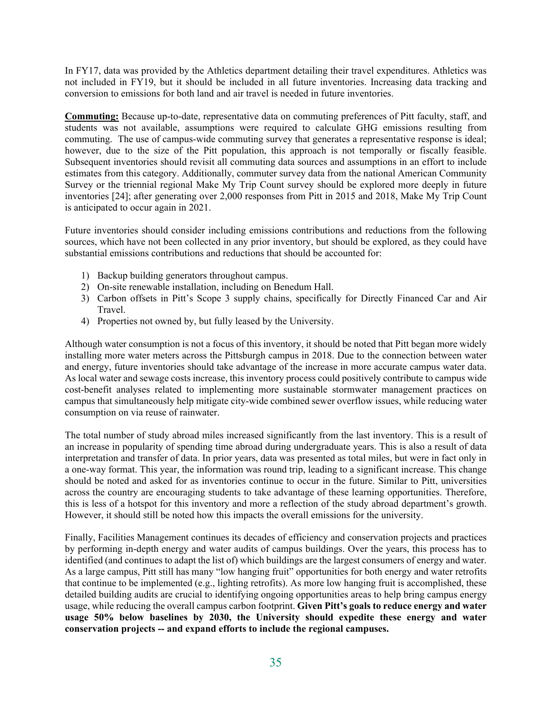In FY17, data was provided by the Athletics department detailing their travel expenditures. Athletics was not included in FY19, but it should be included in all future inventories. Increasing data tracking and conversion to emissions for both land and air travel is needed in future inventories.

**Commuting:** Because up-to-date, representative data on commuting preferences of Pitt faculty, staff, and students was not available, assumptions were required to calculate GHG emissions resulting from commuting. The use of campus-wide commuting survey that generates a representative response is ideal; however, due to the size of the Pitt population, this approach is not temporally or fiscally feasible. Subsequent inventories should revisit all commuting data sources and assumptions in an effort to include estimates from this category. Additionally, commuter survey data from the national American Community Survey or the triennial regional Make My Trip Count survey should be explored more deeply in future inventories [24]; after generating over 2,000 responses from Pitt in 2015 and 2018, Make My Trip Count is anticipated to occur again in 2021.

Future inventories should consider including emissions contributions and reductions from the following sources, which have not been collected in any prior inventory, but should be explored, as they could have substantial emissions contributions and reductions that should be accounted for:

- 1) Backup building generators throughout campus.
- 2) On-site renewable installation, including on Benedum Hall.
- 3) Carbon offsets in Pitt's Scope 3 supply chains, specifically for Directly Financed Car and Air Travel.
- 4) Properties not owned by, but fully leased by the University.

Although water consumption is not a focus of this inventory, it should be noted that Pitt began more widely installing more water meters across the Pittsburgh campus in 2018. Due to the connection between water and energy, future inventories should take advantage of the increase in more accurate campus water data. As local water and sewage costs increase, this inventory process could positively contribute to campus wide cost-benefit analyses related to implementing more sustainable stormwater management practices on campus that simultaneously help mitigate city-wide combined sewer overflow issues, while reducing water consumption on via reuse of rainwater.

The total number of study abroad miles increased significantly from the last inventory. This is a result of an increase in popularity of spending time abroad during undergraduate years. This is also a result of data interpretation and transfer of data. In prior years, data was presented as total miles, but were in fact only in a one-way format. This year, the information was round trip, leading to a significant increase. This change should be noted and asked for as inventories continue to occur in the future. Similar to Pitt, universities across the country are encouraging students to take advantage of these learning opportunities. Therefore, this is less of a hotspot for this inventory and more a reflection of the study abroad department's growth. However, it should still be noted how this impacts the overall emissions for the university.

Finally, Facilities Management continues its decades of efficiency and conservation projects and practices by performing in-depth energy and water audits of campus buildings. Over the years, this process has to identified (and continues to adapt the list of) which buildings are the largest consumers of energy and water. As a large campus, Pitt still has many "low hanging fruit" opportunities for both energy and water retrofits that continue to be implemented (e.g., lighting retrofits). As more low hanging fruit is accomplished, these detailed building audits are crucial to identifying ongoing opportunities areas to help bring campus energy usage, while reducing the overall campus carbon footprint. **Given Pitt's goals to reduce energy and water usage 50% below baselines by 2030, the University should expedite these energy and water conservation projects -- and expand efforts to include the regional campuses.**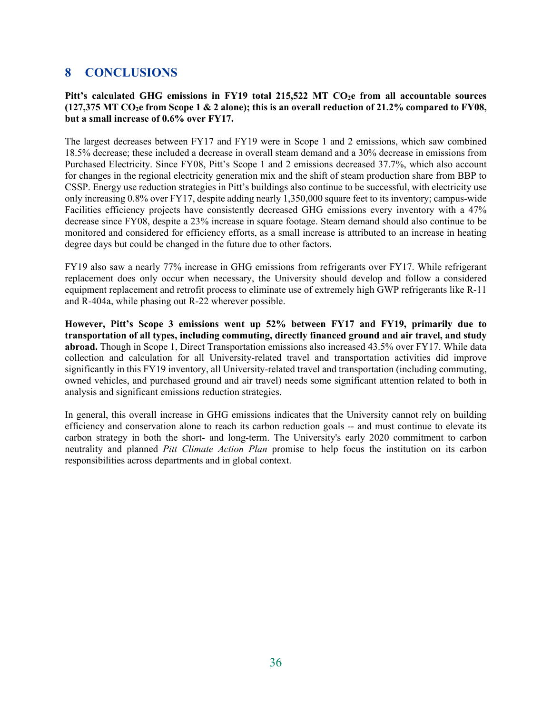## **8 CONCLUSIONS**

#### Pitt's calculated GHG emissions in FY19 total 215,522 MT CO<sub>2</sub>e from all accountable sources  $(127,375$  MT CO<sub>2</sub>e from Scope 1 & 2 alone); this is an overall reduction of 21.2% compared to FY08, **but a small increase of 0.6% over FY17.**

The largest decreases between FY17 and FY19 were in Scope 1 and 2 emissions, which saw combined 18.5% decrease; these included a decrease in overall steam demand and a 30% decrease in emissions from Purchased Electricity. Since FY08, Pitt's Scope 1 and 2 emissions decreased 37.7%, which also account for changes in the regional electricity generation mix and the shift of steam production share from BBP to CSSP. Energy use reduction strategies in Pitt's buildings also continue to be successful, with electricity use only increasing 0.8% over FY17, despite adding nearly 1,350,000 square feet to its inventory; campus-wide Facilities efficiency projects have consistently decreased GHG emissions every inventory with a 47% decrease since FY08, despite a 23% increase in square footage. Steam demand should also continue to be monitored and considered for efficiency efforts, as a small increase is attributed to an increase in heating degree days but could be changed in the future due to other factors.

FY19 also saw a nearly 77% increase in GHG emissions from refrigerants over FY17. While refrigerant replacement does only occur when necessary, the University should develop and follow a considered equipment replacement and retrofit process to eliminate use of extremely high GWP refrigerants like R-11 and R-404a, while phasing out R-22 wherever possible.

**However, Pitt's Scope 3 emissions went up 52% between FY17 and FY19, primarily due to transportation of all types, including commuting, directly financed ground and air travel, and study abroad.** Though in Scope 1, Direct Transportation emissions also increased 43.5% over FY17. While data collection and calculation for all University-related travel and transportation activities did improve significantly in this FY19 inventory, all University-related travel and transportation (including commuting, owned vehicles, and purchased ground and air travel) needs some significant attention related to both in analysis and significant emissions reduction strategies.

In general, this overall increase in GHG emissions indicates that the University cannot rely on building efficiency and conservation alone to reach its carbon reduction goals -- and must continue to elevate its carbon strategy in both the short- and long-term. The University's early 2020 commitment to carbon neutrality and planned *Pitt Climate Action Plan* promise to help focus the institution on its carbon responsibilities across departments and in global context.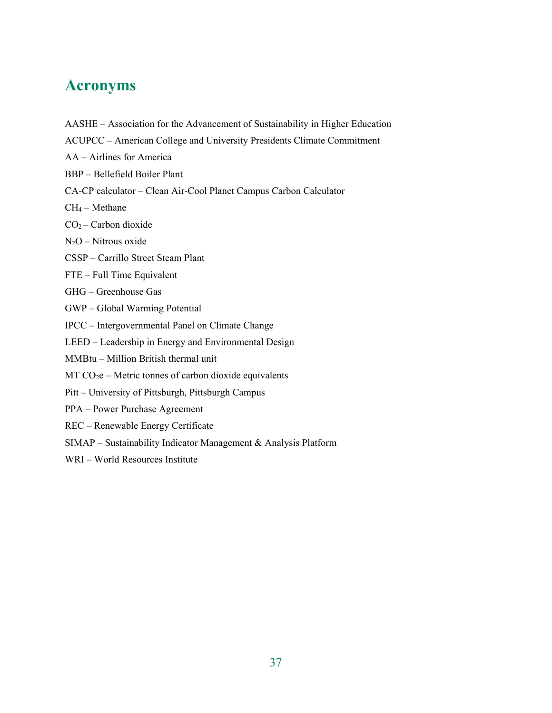## **Acronyms**

- AASHE Association for the Advancement of Sustainability in Higher Education
- ACUPCC American College and University Presidents Climate Commitment
- AA Airlines for America
- BBP Bellefield Boiler Plant
- CA-CP calculator Clean Air-Cool Planet Campus Carbon Calculator
- CH4 Methane
- CO2 Carbon dioxide
- N2O Nitrous oxide
- CSSP Carrillo Street Steam Plant
- FTE Full Time Equivalent
- GHG Greenhouse Gas
- GWP Global Warming Potential
- IPCC Intergovernmental Panel on Climate Change
- LEED Leadership in Energy and Environmental Design
- MMBtu Million British thermal unit
- $MT CO<sub>2</sub>e Metric tonnes of carbon dioxide equivalents$
- Pitt University of Pittsburgh, Pittsburgh Campus
- PPA Power Purchase Agreement
- REC Renewable Energy Certificate
- SIMAP Sustainability Indicator Management & Analysis Platform
- WRI World Resources Institute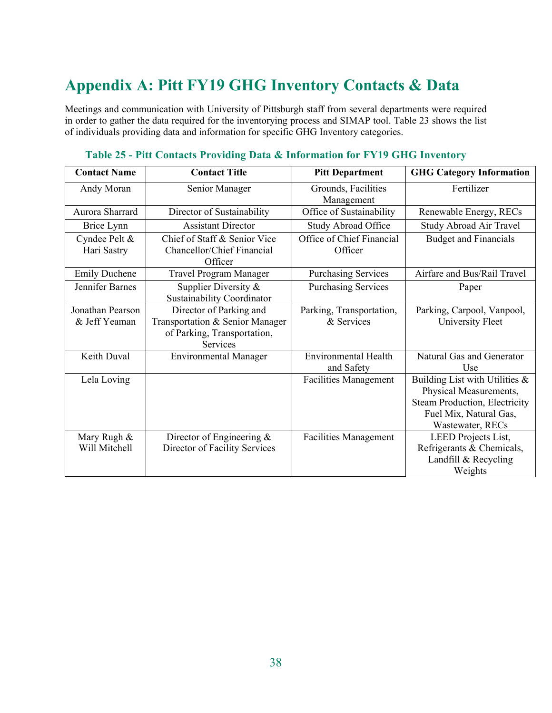# **Appendix A: Pitt FY19 GHG Inventory Contacts & Data**

Meetings and communication with University of Pittsburgh staff from several departments were required in order to gather the data required for the inventorying process and SIMAP tool. Table 23 shows the list of individuals providing data and information for specific GHG Inventory categories.

| <b>Contact Name</b>  | <b>Contact Title</b>            | <b>Pitt Department</b>            | <b>GHG Category Information</b>      |
|----------------------|---------------------------------|-----------------------------------|--------------------------------------|
| Andy Moran           | Senior Manager                  | Grounds, Facilities<br>Management | Fertilizer                           |
| Aurora Sharrard      | Director of Sustainability      | Office of Sustainability          | Renewable Energy, RECs               |
| Brice Lynn           | <b>Assistant Director</b>       | <b>Study Abroad Office</b>        | Study Abroad Air Travel              |
| Cyndee Pelt &        | Chief of Staff & Senior Vice    | Office of Chief Financial         | <b>Budget and Financials</b>         |
| Hari Sastry          | Chancellor/Chief Financial      | Officer                           |                                      |
|                      | Officer                         |                                   |                                      |
| <b>Emily Duchene</b> | Travel Program Manager          | <b>Purchasing Services</b>        | Airfare and Bus/Rail Travel          |
| Jennifer Barnes      | Supplier Diversity &            | <b>Purchasing Services</b>        | Paper                                |
|                      | Sustainability Coordinator      |                                   |                                      |
| Jonathan Pearson     | Director of Parking and         | Parking, Transportation,          | Parking, Carpool, Vanpool,           |
| & Jeff Yeaman        | Transportation & Senior Manager | & Services                        | University Fleet                     |
|                      | of Parking, Transportation,     |                                   |                                      |
|                      | Services                        |                                   |                                      |
| Keith Duval          | <b>Environmental Manager</b>    | <b>Environmental Health</b>       | Natural Gas and Generator            |
|                      |                                 | and Safety                        | Use                                  |
| Lela Loving          |                                 | <b>Facilities Management</b>      | Building List with Utilities &       |
|                      |                                 |                                   | Physical Measurements,               |
|                      |                                 |                                   | <b>Steam Production, Electricity</b> |
|                      |                                 |                                   | Fuel Mix, Natural Gas,               |
|                      |                                 |                                   | Wastewater, RECs                     |
| Mary Rugh &          | Director of Engineering &       | <b>Facilities Management</b>      | LEED Projects List,                  |
| Will Mitchell        | Director of Facility Services   |                                   | Refrigerants & Chemicals,            |
|                      |                                 |                                   | Landfill & Recycling                 |
|                      |                                 |                                   | Weights                              |

### **Table 25 - Pitt Contacts Providing Data & Information for FY19 GHG Inventory**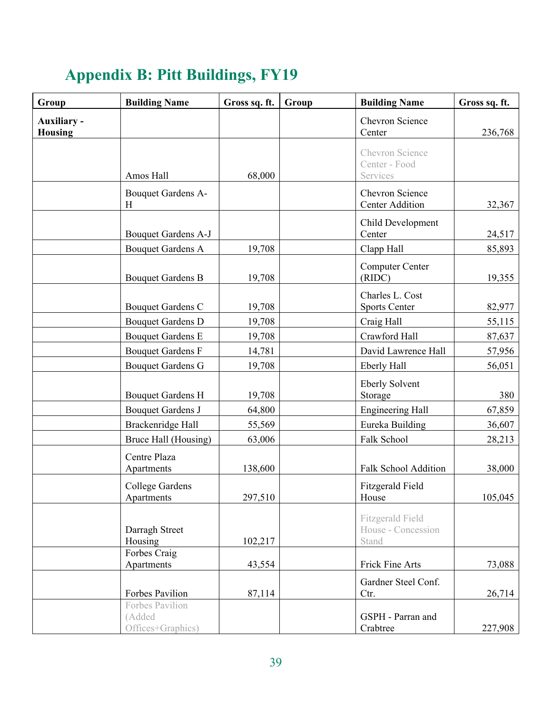| Group                                | <b>Building Name</b>                           | Gross sq. ft. | Group | <b>Building Name</b>                                   | Gross sq. ft. |
|--------------------------------------|------------------------------------------------|---------------|-------|--------------------------------------------------------|---------------|
| <b>Auxiliary -</b><br><b>Housing</b> |                                                |               |       | Chevron Science<br>Center                              | 236,768       |
|                                      | Amos Hall                                      | 68,000        |       | Chevron Science<br>Center - Food<br>Services           |               |
|                                      | Bouquet Gardens A-<br>Η                        |               |       | Chevron Science<br><b>Center Addition</b>              | 32,367        |
|                                      | Bouquet Gardens A-J                            |               |       | Child Development<br>Center                            | 24,517        |
|                                      | <b>Bouquet Gardens A</b>                       | 19,708        |       | Clapp Hall                                             | 85,893        |
|                                      | <b>Bouquet Gardens B</b>                       | 19,708        |       | <b>Computer Center</b><br>(RIDC)                       | 19,355        |
|                                      | <b>Bouquet Gardens C</b>                       | 19,708        |       | Charles L. Cost<br><b>Sports Center</b>                | 82,977        |
|                                      | <b>Bouquet Gardens D</b>                       | 19,708        |       | Craig Hall                                             | 55,115        |
|                                      | <b>Bouquet Gardens E</b>                       | 19,708        |       | Crawford Hall                                          | 87,637        |
|                                      | <b>Bouquet Gardens F</b>                       | 14,781        |       | David Lawrence Hall                                    | 57,956        |
|                                      | <b>Bouquet Gardens G</b>                       | 19,708        |       | <b>Eberly Hall</b>                                     | 56,051        |
|                                      | <b>Bouquet Gardens H</b>                       | 19,708        |       | <b>Eberly Solvent</b><br>Storage                       | 380           |
|                                      | <b>Bouquet Gardens J</b>                       | 64,800        |       | <b>Engineering Hall</b>                                | 67,859        |
|                                      | Brackenridge Hall                              | 55,569        |       | Eureka Building                                        | 36,607        |
|                                      | Bruce Hall (Housing)                           | 63,006        |       | Falk School                                            | 28,213        |
|                                      | Centre Plaza<br>Apartments                     | 138,600       |       | <b>Falk School Addition</b>                            | 38,000        |
|                                      | College Gardens<br>Apartments                  | 297,510       |       | Fitzgerald Field<br>House                              | 105,045       |
|                                      | Darragh Street<br>Housing                      | 102,217       |       | <b>Fitzgerald Field</b><br>House - Concession<br>Stand |               |
|                                      | Forbes Craig<br>Apartments                     | 43,554        |       | Frick Fine Arts                                        | 73,088        |
|                                      | Forbes Pavilion                                | 87,114        |       | Gardner Steel Conf.<br>Ctr.                            | 26,714        |
|                                      | Forbes Pavilion<br>(Added<br>Offices+Graphics) |               |       | GSPH - Parran and<br>Crabtree                          | 227,908       |

# **Appendix B: Pitt Buildings, FY19**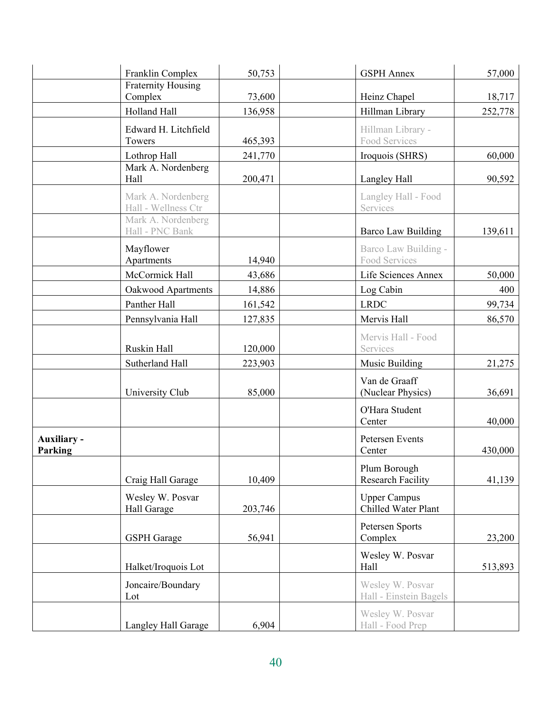|                        | Franklin Complex                          | 50,753            | <b>GSPH</b> Annex                            | 57,000  |
|------------------------|-------------------------------------------|-------------------|----------------------------------------------|---------|
|                        | <b>Fraternity Housing</b>                 |                   |                                              |         |
|                        | Complex<br>Holland Hall                   | 73,600<br>136,958 | Heinz Chapel<br>Hillman Library              | 18,717  |
|                        |                                           |                   |                                              | 252,778 |
|                        | Edward H. Litchfield<br>Towers            | 465,393           | Hillman Library -<br><b>Food Services</b>    |         |
|                        | Lothrop Hall                              | 241,770           | Iroquois (SHRS)                              | 60,000  |
|                        | Mark A. Nordenberg<br>Hall                | 200,471           | Langley Hall                                 | 90,592  |
|                        | Mark A. Nordenberg<br>Hall - Wellness Ctr |                   | Langley Hall - Food<br>Services              |         |
|                        | Mark A. Nordenberg<br>Hall - PNC Bank     |                   | Barco Law Building                           | 139,611 |
|                        | Mayflower<br>Apartments                   | 14,940            | Barco Law Building -<br><b>Food Services</b> |         |
|                        | McCormick Hall                            | 43,686            | Life Sciences Annex                          | 50,000  |
|                        | Oakwood Apartments                        | 14,886            | Log Cabin                                    | 400     |
|                        | Panther Hall                              | 161,542           | <b>LRDC</b>                                  | 99,734  |
|                        | Pennsylvania Hall                         | 127,835           | Mervis Hall                                  | 86,570  |
|                        | Ruskin Hall                               | 120,000           | Mervis Hall - Food<br>Services               |         |
|                        | Sutherland Hall                           | 223,903           | Music Building                               | 21,275  |
|                        | University Club                           | 85,000            | Van de Graaff<br>(Nuclear Physics)           | 36,691  |
|                        |                                           |                   | O'Hara Student<br>Center                     | 40,000  |
| Auxiliary -<br>Parking |                                           |                   | <b>Petersen Events</b><br>Center             | 430,000 |
|                        | Craig Hall Garage                         | 10,409            | Plum Borough<br><b>Research Facility</b>     | 41,139  |
|                        | Wesley W. Posvar<br>Hall Garage           | 203,746           | <b>Upper Campus</b><br>Chilled Water Plant   |         |
|                        | <b>GSPH</b> Garage                        | 56,941            | Petersen Sports<br>Complex                   | 23,200  |
|                        | Halket/Iroquois Lot                       |                   | Wesley W. Posvar<br>Hall                     | 513,893 |
|                        | Joncaire/Boundary<br>Lot                  |                   | Wesley W. Posvar<br>Hall - Einstein Bagels   |         |
|                        | Langley Hall Garage                       | 6,904             | Wesley W. Posvar<br>Hall - Food Prep         |         |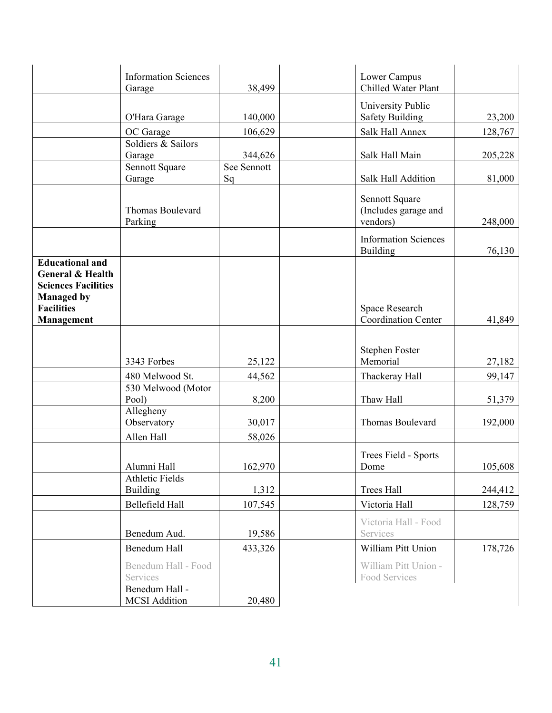|                                                                                                          | <b>Information Sciences</b><br>Garage     | 38,499      | Lower Campus<br>Chilled Water Plant                |         |
|----------------------------------------------------------------------------------------------------------|-------------------------------------------|-------------|----------------------------------------------------|---------|
|                                                                                                          |                                           |             |                                                    |         |
|                                                                                                          | O'Hara Garage                             | 140,000     | University Public<br><b>Safety Building</b>        | 23,200  |
|                                                                                                          | OC Garage                                 | 106,629     | Salk Hall Annex                                    | 128,767 |
|                                                                                                          | Soldiers & Sailors                        |             |                                                    |         |
|                                                                                                          | Garage                                    | 344,626     | Salk Hall Main                                     | 205,228 |
|                                                                                                          | Sennott Square                            | See Sennott |                                                    |         |
|                                                                                                          | Garage                                    | Sq          | <b>Salk Hall Addition</b>                          | 81,000  |
|                                                                                                          | Thomas Boulevard<br>Parking               |             | Sennott Square<br>(Includes garage and<br>vendors) | 248,000 |
|                                                                                                          |                                           |             | <b>Information Sciences</b><br>Building            | 76,130  |
| <b>Educational and</b><br><b>General &amp; Health</b><br><b>Sciences Facilities</b><br><b>Managed by</b> |                                           |             |                                                    |         |
| <b>Facilities</b>                                                                                        |                                           |             | Space Research<br><b>Coordination Center</b>       |         |
| Management                                                                                               |                                           |             |                                                    | 41,849  |
|                                                                                                          | 3343 Forbes                               | 25,122      | <b>Stephen Foster</b><br>Memorial                  | 27,182  |
|                                                                                                          | 480 Melwood St.                           | 44,562      | Thackeray Hall                                     | 99,147  |
|                                                                                                          | 530 Melwood (Motor<br>Pool)               | 8,200       | Thaw Hall                                          | 51,379  |
|                                                                                                          | Allegheny<br>Observatory                  | 30,017      | <b>Thomas Boulevard</b>                            | 192,000 |
|                                                                                                          | Allen Hall                                | 58,026      |                                                    |         |
|                                                                                                          | Alumni Hall                               | 162,970     | Trees Field - Sports<br>Dome                       | 105,608 |
|                                                                                                          | <b>Athletic Fields</b><br><b>Building</b> | 1,312       | <b>Trees Hall</b>                                  | 244,412 |
|                                                                                                          | Bellefield Hall                           | 107,545     | Victoria Hall                                      | 128,759 |
|                                                                                                          |                                           |             |                                                    |         |
|                                                                                                          | Benedum Aud.                              | 19,586      | Victoria Hall - Food<br>Services                   |         |
|                                                                                                          | Benedum Hall                              | 433,326     | William Pitt Union                                 | 178,726 |
|                                                                                                          | Benedum Hall - Food<br>Services           |             | William Pitt Union -<br>Food Services              |         |
|                                                                                                          | Benedum Hall -<br><b>MCSI</b> Addition    |             |                                                    |         |
|                                                                                                          |                                           | 20,480      |                                                    |         |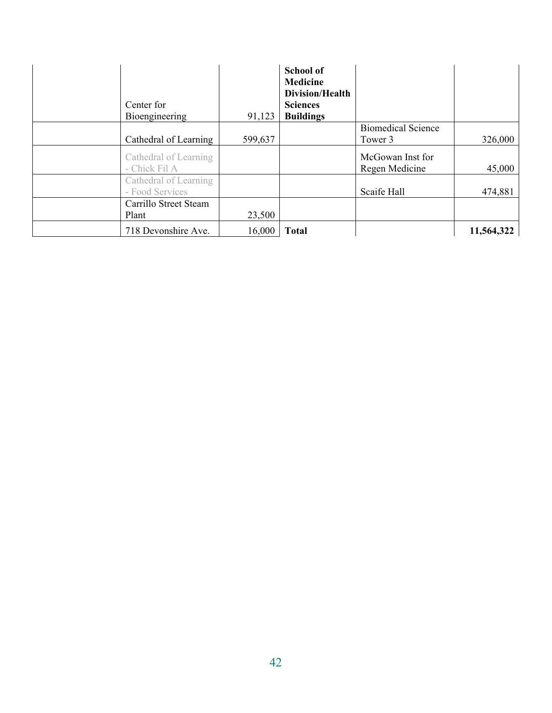| Center for<br>Bioengineering           | 91,123  | <b>School of</b><br><b>Medicine</b><br>Division/Health<br><b>Sciences</b><br><b>Buildings</b> |                                    |            |
|----------------------------------------|---------|-----------------------------------------------------------------------------------------------|------------------------------------|------------|
|                                        |         |                                                                                               | <b>Biomedical Science</b>          |            |
| Cathedral of Learning                  | 599,637 |                                                                                               | Tower 3                            | 326,000    |
| Cathedral of Learning<br>- Chick Fil A |         |                                                                                               | McGowan Inst for<br>Regen Medicine | 45,000     |
| Cathedral of Learning                  |         |                                                                                               |                                    |            |
| - Food Services                        |         |                                                                                               | Scaife Hall                        | 474,881    |
| Carrillo Street Steam                  |         |                                                                                               |                                    |            |
| Plant                                  | 23,500  |                                                                                               |                                    |            |
| 718 Devonshire Ave.                    | 16,000  | <b>Total</b>                                                                                  |                                    | 11,564,322 |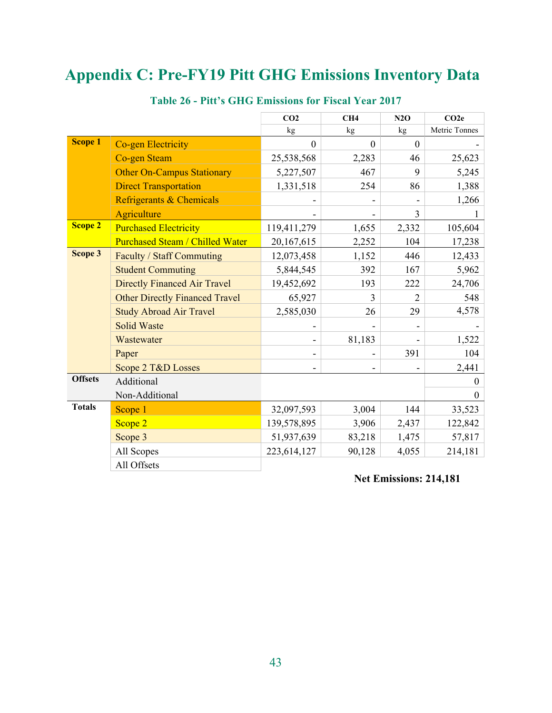# **Appendix C: Pre-FY19 Pitt GHG Emissions Inventory Data**

|                |                                        | CO <sub>2</sub>          | CH4          | N2O            | CO2e          |
|----------------|----------------------------------------|--------------------------|--------------|----------------|---------------|
|                |                                        | $\rm kg$                 | kg           | kg             | Metric Tonnes |
| <b>Scope 1</b> | <b>Co-gen Electricity</b>              | $\overline{0}$           | $\mathbf{0}$ | $\mathbf{0}$   |               |
|                | <b>Co-gen Steam</b>                    | 25,538,568               | 2,283        | 46             | 25,623        |
|                | <b>Other On-Campus Stationary</b>      | 5,227,507                | 467          | 9              | 5,245         |
|                | <b>Direct Transportation</b>           | 1,331,518                | 254          | 86             | 1,388         |
|                | Refrigerants & Chemicals               |                          |              |                | 1,266         |
|                | Agriculture                            |                          |              | 3              |               |
| <b>Scope 2</b> | <b>Purchased Electricity</b>           | 119,411,279              | 1,655        | 2,332          | 105,604       |
|                | <b>Purchased Steam / Chilled Water</b> | 20,167,615               | 2,252        | 104            | 17,238        |
| Scope 3        | Faculty / Staff Commuting              | 12,073,458               | 1,152        | 446            | 12,433        |
|                | <b>Student Commuting</b>               | 5,844,545                | 392          | 167            | 5,962         |
|                | <b>Directly Financed Air Travel</b>    | 19,452,692               | 193          | 222            | 24,706        |
|                | <b>Other Directly Financed Travel</b>  | 65,927                   | $\mathbf{3}$ | $\overline{2}$ | 548           |
|                | <b>Study Abroad Air Travel</b>         | 2,585,030                | 26           | 29             | 4,578         |
|                | <b>Solid Waste</b>                     |                          |              |                |               |
|                | Wastewater                             | $\qquad \qquad -$        | 81,183       |                | 1,522         |
|                | Paper                                  | -                        |              | 391            | 104           |
|                | Scope 2 T&D Losses                     | $\overline{\phantom{a}}$ |              |                | 2,441         |
| <b>Offsets</b> | Additional                             |                          |              |                | $\theta$      |
|                | Non-Additional                         |                          |              |                | $\theta$      |
| <b>Totals</b>  | Scope 1                                | 32,097,593               | 3,004        | 144            | 33,523        |
|                | Scope 2                                | 139,578,895              | 3,906        | 2,437          | 122,842       |
|                | Scope 3                                | 51,937,639               | 83,218       | 1,475          | 57,817        |
|                | All Scopes                             | 223,614,127              | 90,128       | 4,055          | 214,181       |
|                | All Offsets                            |                          |              |                |               |

## **Table 26 - Pitt's GHG Emissions for Fiscal Year 2017**

## **Net Emissions: 214,181**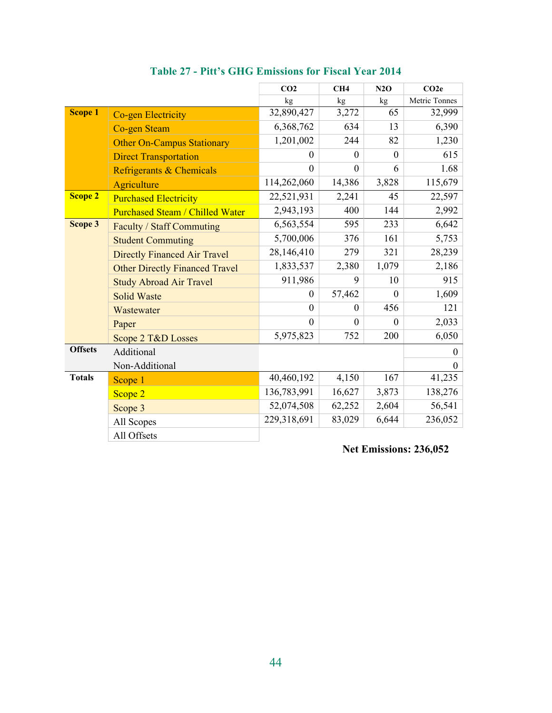|                |                                        | CO <sub>2</sub>  | CH4          | N2O      | CO2e          |
|----------------|----------------------------------------|------------------|--------------|----------|---------------|
|                |                                        | kg               | kg           | kg       | Metric Tonnes |
| <b>Scope 1</b> | <b>Co-gen Electricity</b>              | 32,890,427       | 3,272        | 65       | 32,999        |
|                | <b>Co-gen Steam</b>                    | 6,368,762        | 634          | 13       | 6,390         |
|                | <b>Other On-Campus Stationary</b>      | 1,201,002        | 244          | 82       | 1,230         |
|                | <b>Direct Transportation</b>           | $\theta$         | $\Omega$     | $\theta$ | 615           |
|                | Refrigerants & Chemicals               | $\mathbf{0}$     | $\mathbf{0}$ | 6        | 1.68          |
|                | Agriculture                            | 114,262,060      | 14,386       | 3,828    | 115,679       |
| <b>Scope 2</b> | <b>Purchased Electricity</b>           | 22,521,931       | 2,241        | 45       | 22,597        |
|                | <b>Purchased Steam / Chilled Water</b> | 2,943,193        | 400          | 144      | 2,992         |
| Scope 3        | Faculty / Staff Commuting              | 6,563,554        | 595          | 233      | 6,642         |
|                | <b>Student Commuting</b>               | 5,700,006        | 376          | 161      | 5,753         |
|                | <b>Directly Financed Air Travel</b>    | 28,146,410       | 279          | 321      | 28,239        |
|                | <b>Other Directly Financed Travel</b>  | 1,833,537        | 2,380        | 1,079    | 2,186         |
|                | <b>Study Abroad Air Travel</b>         | 911,986          | 9            | 10       | 915           |
|                | <b>Solid Waste</b>                     | $\theta$         | 57,462       | $\theta$ | 1,609         |
|                | Wastewater                             | $\boldsymbol{0}$ | $\theta$     | 456      | 121           |
|                | Paper                                  | $\mathbf{0}$     | $\theta$     | $\theta$ | 2,033         |
|                | Scope 2 T&D Losses                     | 5,975,823        | 752          | 200      | 6,050         |
| <b>Offsets</b> | Additional                             |                  |              |          | $\theta$      |
|                | Non-Additional                         |                  |              |          | $\theta$      |
| <b>Totals</b>  | Scope 1                                | 40,460,192       | 4,150        | 167      | 41,235        |
|                | Scope 2                                | 136,783,991      | 16,627       | 3,873    | 138,276       |
|                | Scope 3                                | 52,074,508       | 62,252       | 2,604    | 56,541        |
|                | All Scopes                             | 229,318,691      | 83,029       | 6,644    | 236,052       |
|                | All Offsets                            |                  |              |          |               |

**Table 27 - Pitt's GHG Emissions for Fiscal Year 2014** 

**Net Emissions: 236,052**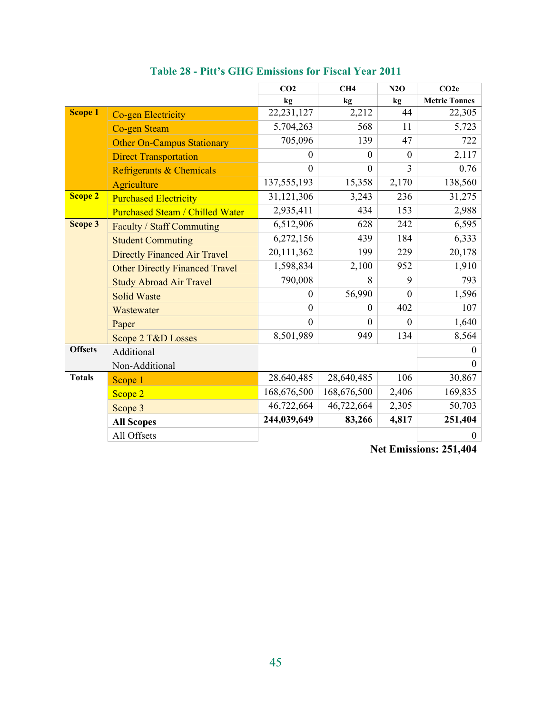|                |                                        | CO <sub>2</sub>  | CH4            | N2O          | CO2e                 |
|----------------|----------------------------------------|------------------|----------------|--------------|----------------------|
|                |                                        | kg               | kg             | kg           | <b>Metric Tonnes</b> |
| <b>Scope 1</b> | <b>Co-gen Electricity</b>              | 22, 231, 127     | 2,212          | 44           | 22,305               |
|                | <b>Co-gen Steam</b>                    | 5,704,263        | 568            | 11           | 5,723                |
|                | <b>Other On-Campus Stationary</b>      | 705,096          | 139            | 47           | 722                  |
|                | <b>Direct Transportation</b>           | 0                | $\overline{0}$ | $\theta$     | 2,117                |
|                | Refrigerants & Chemicals               | $\overline{0}$   | $\overline{0}$ | 3            | 0.76                 |
|                | Agriculture                            | 137,555,193      | 15,358         | 2,170        | 138,560              |
| <b>Scope 2</b> | <b>Purchased Electricity</b>           | 31,121,306       | 3,243          | 236          | 31,275               |
|                | <b>Purchased Steam / Chilled Water</b> | 2,935,411        | 434            | 153          | 2,988                |
| Scope 3        | <b>Faculty / Staff Commuting</b>       | 6,512,906        | 628            | 242          | 6,595                |
|                | <b>Student Commuting</b>               | 6,272,156        | 439            | 184          | 6,333                |
|                | <b>Directly Financed Air Travel</b>    | 20,111,362       | 199            | 229          | 20,178               |
|                | <b>Other Directly Financed Travel</b>  | 1,598,834        | 2,100          | 952          | 1,910                |
|                | <b>Study Abroad Air Travel</b>         | 790,008          | 8              | 9            | 793                  |
|                | <b>Solid Waste</b>                     | $\boldsymbol{0}$ | 56,990         | $\mathbf{0}$ | 1,596                |
|                | Wastewater                             | $\overline{0}$   | $\mathbf{0}$   | 402          | 107                  |
|                | Paper                                  | $\theta$         | $\mathbf{0}$   | $\theta$     | 1,640                |
|                | Scope 2 T&D Losses                     | 8,501,989        | 949            | 134          | 8,564                |
| <b>Offsets</b> | Additional                             |                  | $\theta$       |              |                      |
|                | Non-Additional                         |                  |                |              | $\mathbf{0}$         |
| <b>Totals</b>  | Scope 1                                | 28,640,485       | 28,640,485     | 106          | 30,867               |
|                | Scope 2                                | 168,676,500      | 168,676,500    | 2,406        | 169,835              |
|                | Scope 3                                | 46,722,664       | 46,722,664     | 2,305        | 50,703               |
|                | <b>All Scopes</b>                      | 244,039,649      | 83,266         | 4,817        | 251,404              |
|                | All Offsets                            |                  |                |              | $\boldsymbol{0}$     |

**Table 28 - Pitt's GHG Emissions for Fiscal Year 2011** 

**Net Emissions: 251,404**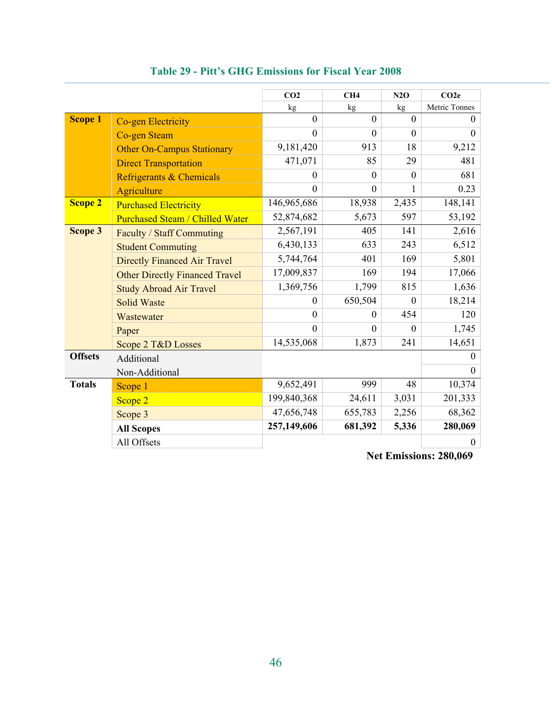|                |                                        | CO <sub>2</sub> | CH4          | N2O            | CO2e          |
|----------------|----------------------------------------|-----------------|--------------|----------------|---------------|
|                |                                        | kg              | kg           | kg             | Metric Tonnes |
| <b>Scope 1</b> | Co-gen Electricity                     | $\mathbf{0}$    | $\theta$     | $\overline{0}$ | $\Omega$      |
|                | <b>Co-gen Steam</b>                    | $\Omega$        | $\Omega$     | $\Omega$       | $\Omega$      |
|                | <b>Other On-Campus Stationary</b>      | 9,181,420       | 913          | 18             | 9,212         |
|                | <b>Direct Transportation</b>           | 471,071         | 85           | 29             | 481           |
|                | Refrigerants & Chemicals               | $\theta$        | $\theta$     | $\theta$       | 681           |
|                | Agriculture                            | $\Omega$        | $\mathbf{0}$ | 1              | 0.23          |
| <b>Scope 2</b> | <b>Purchased Electricity</b>           | 146,965,686     | 18,938       | 2,435          | 148,141       |
|                | <b>Purchased Steam / Chilled Water</b> | 52,874,682      | 5,673        | 597            | 53,192        |
| Scope 3        | Faculty / Staff Commuting              | 2,567,191       | 405          | 141            | 2,616         |
|                | <b>Student Commuting</b>               | 6,430,133       | 633          | 243            | 6,512         |
|                | <b>Directly Financed Air Travel</b>    | 5,744,764       | 401          | 169            | 5,801         |
|                | <b>Other Directly Financed Travel</b>  | 17,009,837      | 169          | 194            | 17,066        |
|                | <b>Study Abroad Air Travel</b>         | 1,369,756       | 1,799        | 815            | 1,636         |
|                | <b>Solid Waste</b>                     | $\theta$        | 650,504      | $\Omega$       | 18,214        |
|                | Wastewater                             | $\theta$        | $\Omega$     | 454            | 120           |
|                | Paper                                  | $\theta$        | $\Omega$     | $\Omega$       | 1,745         |
|                | Scope 2 T&D Losses                     | 14,535,068      | 1,873        | 241            | 14,651        |
| <b>Offsets</b> | Additional                             |                 |              | $\theta$       |               |
|                | Non-Additional                         |                 |              |                | $\Omega$      |
| <b>Totals</b>  | Scope 1                                | 9,652,491       | 999          | 48             | 10,374        |
|                | Scope 2                                | 199,840,368     | 24,611       | 3,031          | 201,333       |
|                | Scope 3                                | 47,656,748      | 655,783      | 2,256          | 68,362        |
|                | <b>All Scopes</b>                      | 257,149,606     | 681,392      | 5,336          | 280,069       |
|                | All Offsets                            |                 |              |                | $\mathbf{0}$  |

**Table 29 - Pitt's GHG Emissions for Fiscal Year 2008** 

**Net Emissions: 280,069**